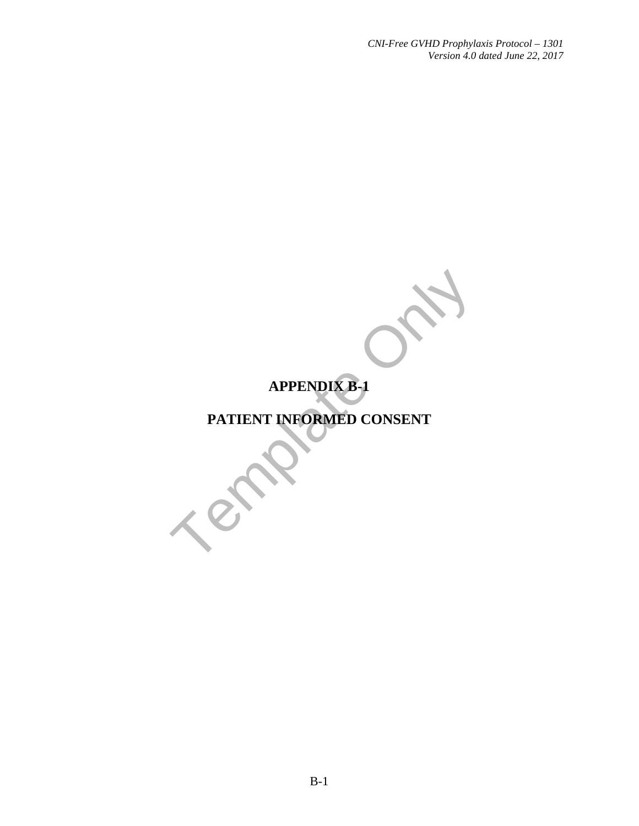# **APPENDIX B-1**

# APPENDIX B-1 **PATIENT INFORMED CONSENT**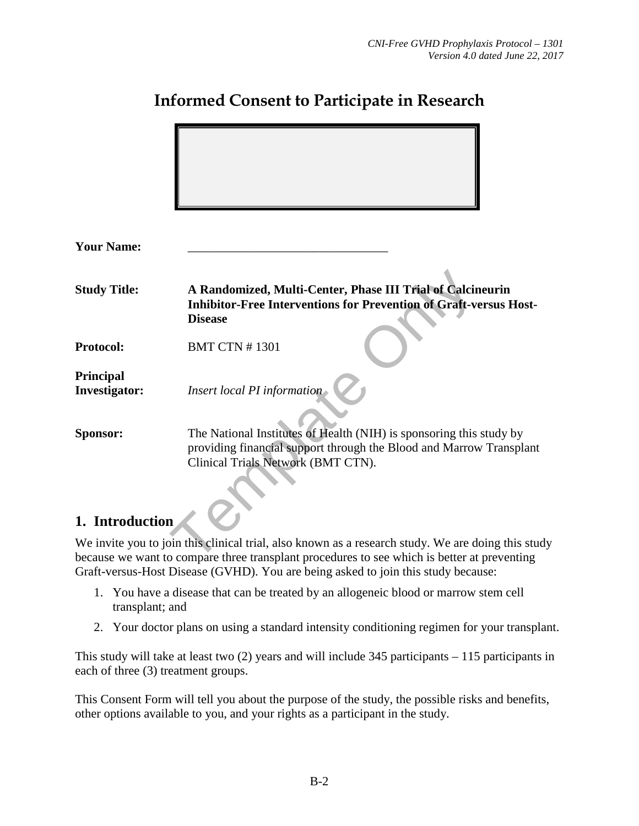| <b>Your Name:</b>                 |                                                                                                                                                                                  |
|-----------------------------------|----------------------------------------------------------------------------------------------------------------------------------------------------------------------------------|
|                                   |                                                                                                                                                                                  |
| <b>Study Title:</b>               | A Randomized, Multi-Center, Phase III Trial of Calcineurin<br><b>Inhibitor-Free Interventions for Prevention of Graft-versus Host-</b><br><b>Disease</b>                         |
| <b>Protocol:</b>                  | <b>BMT CTN #1301</b>                                                                                                                                                             |
| Principal<br><b>Investigator:</b> | Insert local PI information                                                                                                                                                      |
| <b>Sponsor:</b>                   | The National Institutes of Health (NIH) is sponsoring this study by<br>providing financial support through the Blood and Marrow Transplant<br>Clinical Trials Network (BMT CTN). |
|                                   |                                                                                                                                                                                  |
| 1. Introduction                   |                                                                                                                                                                                  |
|                                   | We invite you to join this clinical trial, also known as a research study. We are doing this stud                                                                                |
|                                   | because we want to compare three transplant procedures to see which is better at preventing                                                                                      |

# **Informed Consent to Participate in Research**

# 1. Introduction

We invite you to join this clinical trial, also known as a research study. We are doing this study because we want to compare three transplant procedures to see which is better at preventing Graft-versus-Host Disease (GVHD). You are being asked to join this study because:

- 1. You have a disease that can be treated by an allogeneic blood or marrow stem cell transplant; and
- 2. Your doctor plans on using a standard intensity conditioning regimen for your transplant.

This study will take at least two (2) years and will include 345 participants – 115 participants in each of three (3) treatment groups.

This Consent Form will tell you about the purpose of the study, the possible risks and benefits, other options available to you, and your rights as a participant in the study.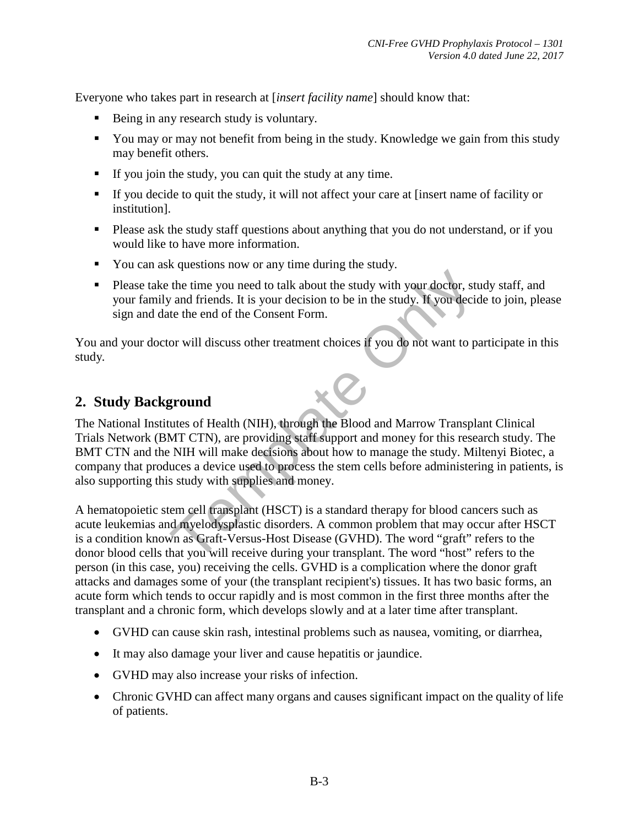Everyone who takes part in research at [*insert facility name*] should know that:

- Being in any research study is voluntary.
- You may or may not benefit from being in the study. Knowledge we gain from this study may benefit others.
- If you join the study, you can quit the study at any time.
- If you decide to quit the study, it will not affect your care at [insert name of facility or institution].
- **Please ask the study staff questions about anything that you do not understand, or if you** would like to have more information.
- You can ask questions now or any time during the study.
- Please take the time you need to talk about the study with your doctor, study staff, and your family and friends. It is your decision to be in the study. If you decide to join, please sign and date the end of the Consent Form.

You and your doctor will discuss other treatment choices if you do not want to participate in this study*.* 

# **2. Study Background**

The time you need to talk about the study with your doctor, strangle in the time you need to talk about the study with your doctor, strangle in the study. If you decide the end of the Consent Form.<br>
For will discuss other The National Institutes of Health (NIH), through the Blood and Marrow Transplant Clinical Trials Network (BMT CTN), are providing staff support and money for this research study. The BMT CTN and the NIH will make decisions about how to manage the study. Miltenyi Biotec, a company that produces a device used to process the stem cells before administering in patients, is also supporting this study with supplies and money.

A hematopoietic stem cell transplant (HSCT) is a standard therapy for blood cancers such as acute leukemias and myelodysplastic disorders. A common problem that may occur after HSCT is a condition known as Graft-Versus-Host Disease (GVHD). The word "graft" refers to the donor blood cells that you will receive during your transplant. The word "host" refers to the person (in this case, you) receiving the cells. GVHD is a complication where the donor graft attacks and damages some of your (the transplant recipient's) tissues. It has two basic forms, an acute form which tends to occur rapidly and is most common in the first three months after the transplant and a chronic form, which develops slowly and at a later time after transplant.

- GVHD can cause skin rash, intestinal problems such as nausea, vomiting, or diarrhea,
- It may also damage your liver and cause hepatitis or jaundice.
- GVHD may also increase your risks of infection.
- Chronic GVHD can affect many organs and causes significant impact on the quality of life of patients.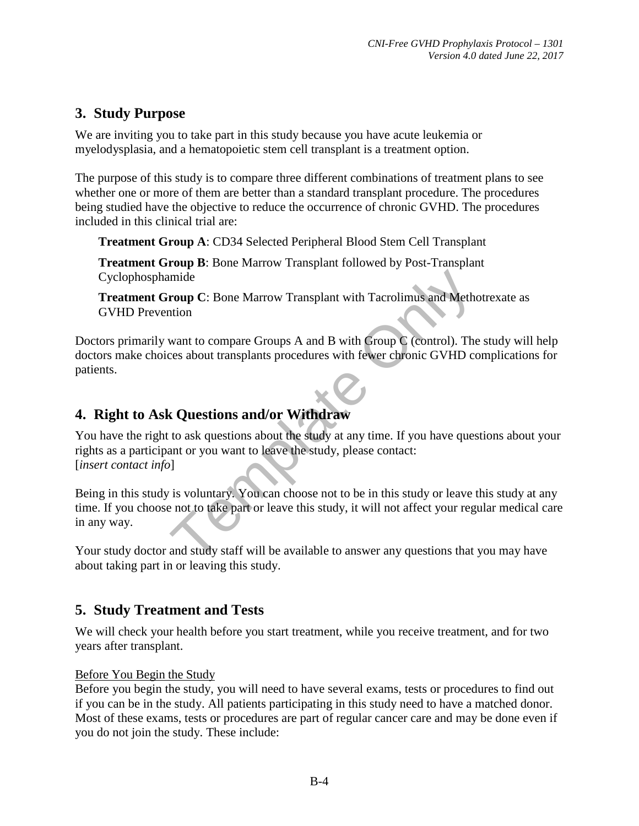# **3. Study Purpose**

We are inviting you to take part in this study because you have acute leukemia or myelodysplasia, and a hematopoietic stem cell transplant is a treatment option.

The purpose of this study is to compare three different combinations of treatment plans to see whether one or more of them are better than a standard transplant procedure. The procedures being studied have the objective to reduce the occurrence of chronic GVHD. The procedures included in this clinical trial are:

**Treatment Group A**: CD34 Selected Peripheral Blood Stem Cell Transplant

**Treatment Group B**: Bone Marrow Transplant followed by Post-Transplant Cyclophosphamide

**Treatment Group C**: Bone Marrow Transplant with Tacrolimus and Methotrexate as GVHD Prevention

Doctors primarily want to compare Groups A and B with Group C (control). The study will help doctors make choices about transplants procedures with fewer chronic GVHD complications for patients.

# **4. Right to Ask Questions and/or Withdraw**

Franchinanumide<br>
Transplant with Tacrolimus and Methon<br>
want to compare Groups A and B with Group C (control). The<br>
reces about transplants procedures with fewer chronic GVHD co<br> **c** Questions and/or Withdraw<br>
to ask ques You have the right to ask questions about the study at any time. If you have questions about your rights as a participant or you want to leave the study, please contact: [*insert contact info*]

Being in this study is voluntary. You can choose not to be in this study or leave this study at any time. If you choose not to take part or leave this study, it will not affect your regular medical care in any way.

Your study doctor and study staff will be available to answer any questions that you may have about taking part in or leaving this study.

# **5. Study Treatment and Tests**

We will check your health before you start treatment, while you receive treatment, and for two years after transplant.

#### Before You Begin the Study

Before you begin the study, you will need to have several exams, tests or procedures to find out if you can be in the study. All patients participating in this study need to have a matched donor. Most of these exams, tests or procedures are part of regular cancer care and may be done even if you do not join the study. These include: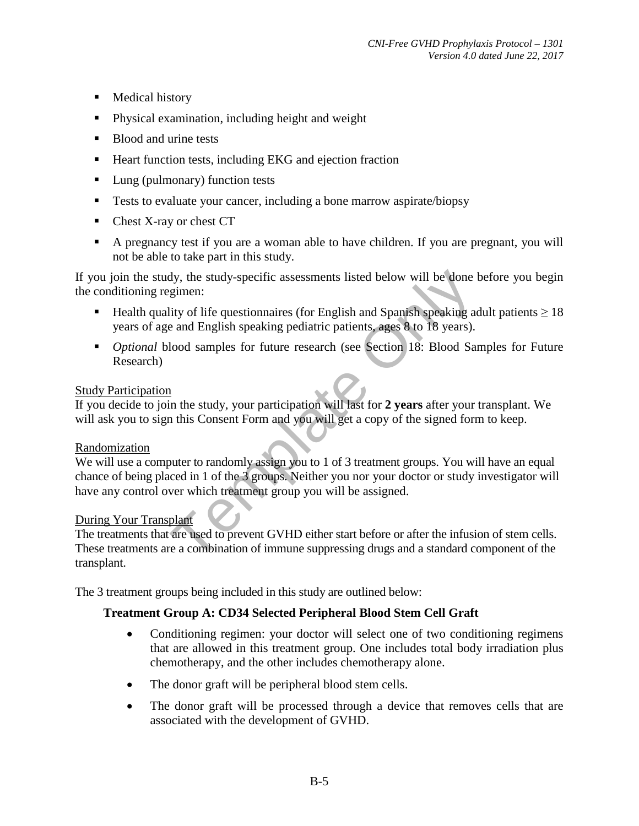- **Medical history**
- **Physical examination, including height and weight**
- Blood and urine tests
- Heart function tests, including EKG and ejection fraction
- Lung (pulmonary) function tests
- **Tests to evaluate your cancer, including a bone marrow aspirate/biopsy**
- Chest X-ray or chest CT
- A pregnancy test if you are a woman able to have children. If you are pregnant, you will not be able to take part in this study.

If you join the study, the study-specific assessments listed below will be done before you begin the conditioning regimen:

- **■** Health quality of life questionnaires (for English and Spanish speaking adult patients  $> 18$ years of age and English speaking pediatric patients, ages 8 to 18 years).
- **•** *Optional* blood samples for future research (see Section 18: Blood Samples for Future Research)

#### Study Participation

If you decide to join the study, your participation will last for **2 years** after your transplant. We will ask you to sign this Consent Form and you will get a copy of the signed form to keep.

#### Randomization

dy, the study-specific assessments listed below will be done limit explore the sum of sum and Equivarian Clity of life questionnaires (for English and Spanish speaking at each English speaking pediatric patients, ages 8 to We will use a computer to randomly assign you to 1 of 3 treatment groups. You will have an equal chance of being placed in 1 of the 3 groups. Neither you nor your doctor or study investigator will have any control over which treatment group you will be assigned.

#### During Your Transplant

The treatments that are used to prevent GVHD either start before or after the infusion of stem cells. These treatments are a combination of immune suppressing drugs and a standard component of the transplant.

The 3 treatment groups being included in this study are outlined below:

#### **Treatment Group A: CD34 Selected Peripheral Blood Stem Cell Graft**

- Conditioning regimen: your doctor will select one of two conditioning regimens that are allowed in this treatment group. One includes total body irradiation plus chemotherapy, and the other includes chemotherapy alone.
- The donor graft will be peripheral blood stem cells.
- The donor graft will be processed through a device that removes cells that are associated with the development of GVHD.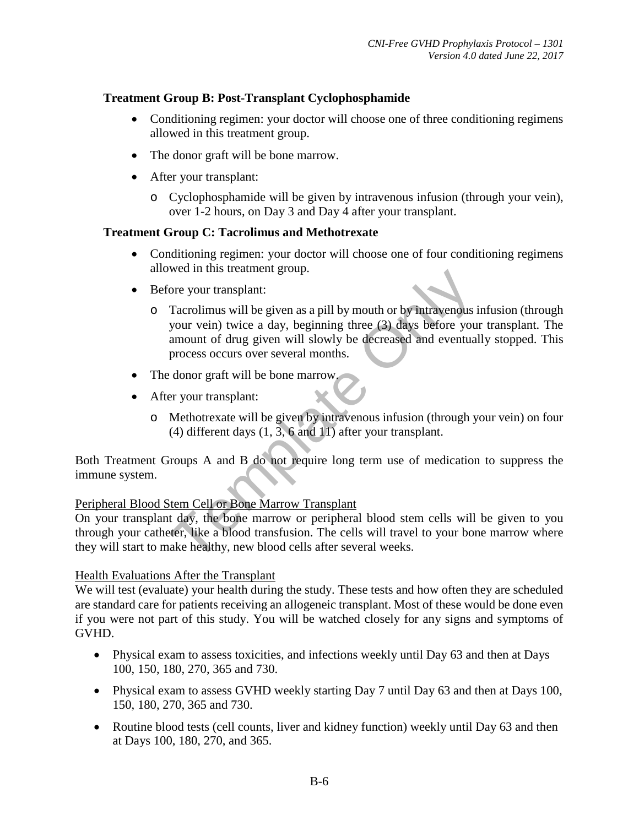#### **Treatment Group B: Post-Transplant Cyclophosphamide**

- Conditioning regimen: your doctor will choose one of three conditioning regimens allowed in this treatment group.
- The donor graft will be bone marrow.
- After your transplant:
	- o Cyclophosphamide will be given by intravenous infusion (through your vein), over 1-2 hours, on Day 3 and Day 4 after your transplant.

#### **Treatment Group C: Tacrolimus and Methotrexate**

- Conditioning regimen: your doctor will choose one of four conditioning regimens allowed in this treatment group.
- Before your transplant:
- Fraction and B do not require long term and B with the healthy, new boundary of the discussion of drug given as a pill by mouth or by intravenous is your vein) twice a day, beginning three (3) days before you amount of dru o Tacrolimus will be given as a pill by mouth or by intravenous infusion (through your vein) twice a day, beginning three (3) days before your transplant. The amount of drug given will slowly be decreased and eventually stopped. This process occurs over several months.
- The donor graft will be bone marrow.
- After your transplant:
	- o Methotrexate will be given by intravenous infusion (through your vein) on four (4) different days (1, 3, 6 and 11) after your transplant.

Both Treatment Groups A and B do not require long term use of medication to suppress the immune system.

#### Peripheral Blood Stem Cell or Bone Marrow Transplant

On your transplant day, the bone marrow or peripheral blood stem cells will be given to you through your catheter, like a blood transfusion. The cells will travel to your bone marrow where they will start to make healthy, new blood cells after several weeks.

#### Health Evaluations After the Transplant

We will test (evaluate) your health during the study. These tests and how often they are scheduled are standard care for patients receiving an allogeneic transplant. Most of these would be done even if you were not part of this study. You will be watched closely for any signs and symptoms of GVHD.

- Physical exam to assess toxicities, and infections weekly until Day 63 and then at Days 100, 150, 180, 270, 365 and 730.
- Physical exam to assess GVHD weekly starting Day 7 until Day 63 and then at Days 100, 150, 180, 270, 365 and 730.
- Routine blood tests (cell counts, liver and kidney function) weekly until Day 63 and then at Days 100, 180, 270, and 365.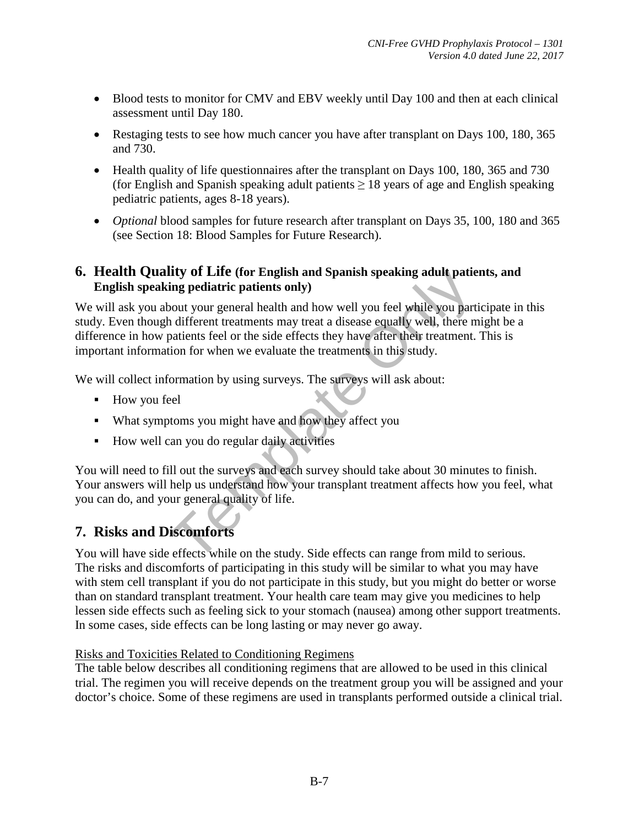- Blood tests to monitor for CMV and EBV weekly until Day 100 and then at each clinical assessment until Day 180.
- Restaging tests to see how much cancer you have after transplant on Days 100, 180, 365 and 730.
- Health quality of life questionnaires after the transplant on Days 100, 180, 365 and 730 (for English and Spanish speaking adult patients  $> 18$  years of age and English speaking pediatric patients, ages 8-18 years).
- *Optional* blood samples for future research after transplant on Days 35, 100, 180 and 365 (see Section 18: Blood Samples for Future Research).

#### **6. Health Quality of Life (for English and Spanish speaking adult patients, and English speaking pediatric patients only)**

IIIV OT LIFE (for English and Spanish speaking adult patie<br>ing pediatric patients only)<br>oout your general health and how well you feel while you part<br>a different treatments may treat a disease equally well, there m<br>patient We will ask you about your general health and how well you feel while you participate in this study. Even though different treatments may treat a disease equally well, there might be a difference in how patients feel or the side effects they have after their treatment. This is important information for when we evaluate the treatments in this study.

We will collect information by using surveys. The surveys will ask about:

- How you feel
- What symptoms you might have and how they affect you
- How well can you do regular daily activities

You will need to fill out the surveys and each survey should take about 30 minutes to finish. Your answers will help us understand how your transplant treatment affects how you feel, what you can do, and your general quality of life.

# **7. Risks and Discomforts**

You will have side effects while on the study. Side effects can range from mild to serious. The risks and discomforts of participating in this study will be similar to what you may have with stem cell transplant if you do not participate in this study, but you might do better or worse than on standard transplant treatment. Your health care team may give you medicines to help lessen side effects such as feeling sick to your stomach (nausea) among other support treatments. In some cases, side effects can be long lasting or may never go away.

#### Risks and Toxicities Related to Conditioning Regimens

The table below describes all conditioning regimens that are allowed to be used in this clinical trial. The regimen you will receive depends on the treatment group you will be assigned and your doctor's choice. Some of these regimens are used in transplants performed outside a clinical trial.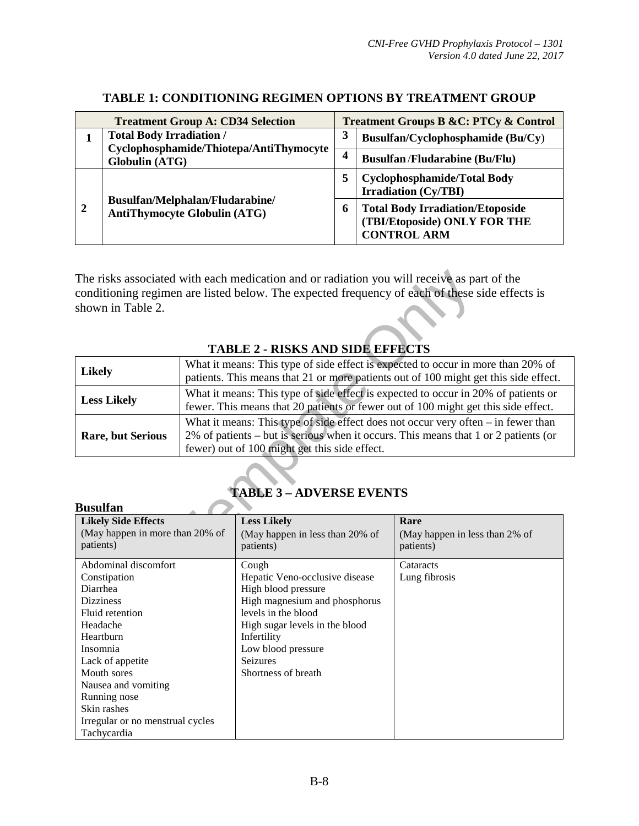|   | <b>Treatment Group A: CD34 Selection</b>                                                            |  | <b>Treatment Groups B &amp;C: PTCy &amp; Control</b>                                          |
|---|-----------------------------------------------------------------------------------------------------|--|-----------------------------------------------------------------------------------------------|
|   | <b>Total Body Irradiation /</b><br>Cyclophosphamide/Thiotepa/AntiThymocyte<br><b>Globulin (ATG)</b> |  | Busulfan/Cyclophosphamide (Bu/Cy)                                                             |
|   |                                                                                                     |  | <b>Busulfan/Fludarabine (Bu/Flu)</b>                                                          |
|   | Busulfan/Melphalan/Fludarabine/<br><b>AntiThymocyte Globulin (ATG)</b>                              |  | <b>Cyclophosphamide/Total Body</b><br><b>Irradiation</b> (Cy/TBI)                             |
| 2 |                                                                                                     |  | <b>Total Body Irradiation/Etoposide</b><br>(TBI/Etoposide) ONLY FOR THE<br><b>CONTROL ARM</b> |

#### **TABLE 1: CONDITIONING REGIMEN OPTIONS BY TREATMENT GROUP**

#### **TABLE 2 - RISKS AND SIDE EFFECTS**

| shown in Table 2.                                                                                       |                                                                                                                                                                                                                             | The risks associated with each medication and or radiation you will receive as part of the<br>conditioning regimen are listed below. The expected frequency of each of these side effects is |                                                                                                                                                                          |
|---------------------------------------------------------------------------------------------------------|-----------------------------------------------------------------------------------------------------------------------------------------------------------------------------------------------------------------------------|----------------------------------------------------------------------------------------------------------------------------------------------------------------------------------------------|--------------------------------------------------------------------------------------------------------------------------------------------------------------------------|
|                                                                                                         |                                                                                                                                                                                                                             | <b>TABLE 2 - RISKS AND SIDE EFFECTS</b>                                                                                                                                                      |                                                                                                                                                                          |
| <b>Likely</b>                                                                                           |                                                                                                                                                                                                                             |                                                                                                                                                                                              | What it means: This type of side effect is expected to occur in more than 20% of<br>patients. This means that 21 or more patients out of 100 might get this side effect. |
| <b>Less Likely</b>                                                                                      |                                                                                                                                                                                                                             |                                                                                                                                                                                              | What it means: This type of side effect is expected to occur in 20% of patients or<br>fewer. This means that 20 patients or fewer out of 100 might get this side effect. |
| <b>Rare, but Serious</b>                                                                                | What it means: This type of side effect does not occur very often $-$ in fewer than<br>2% of patients – but is serious when it occurs. This means that 1 or 2 patients (or<br>fewer) out of 100 might get this side effect. |                                                                                                                                                                                              |                                                                                                                                                                          |
|                                                                                                         |                                                                                                                                                                                                                             | <b>TABLE 3 - ADVERSE EVENTS</b>                                                                                                                                                              |                                                                                                                                                                          |
| <b>Busulfan</b>                                                                                         |                                                                                                                                                                                                                             |                                                                                                                                                                                              |                                                                                                                                                                          |
| <b>Likely Side Effects</b><br>(May happen in more than 20% of<br>patients)<br>$1.1.1$ $1.1.1$<br>$\sim$ |                                                                                                                                                                                                                             | <b>Less Likely</b><br>(May happen in less than 20% of<br>patients)                                                                                                                           | Rare<br>(May happen in less than 2% of<br>patients)<br>$\sim$                                                                                                            |

| <b>Busulfan</b>                  |                                 |                                |
|----------------------------------|---------------------------------|--------------------------------|
| <b>Likely Side Effects</b>       | <b>Less Likely</b>              | Rare                           |
| (May happen in more than 20% of  | (May happen in less than 20% of | (May happen in less than 2% of |
| patients)                        | patients)                       | patients)                      |
| Abdominal discomfort             | Cough                           | Cataracts                      |
| Constipation                     | Hepatic Veno-occlusive disease  | Lung fibrosis                  |
| Diarrhea                         | High blood pressure             |                                |
| <b>Dizziness</b>                 | High magnesium and phosphorus   |                                |
| Fluid retention                  | levels in the blood             |                                |
| Headache                         | High sugar levels in the blood  |                                |
| Heartburn                        | Infertility                     |                                |
| Insomnia                         | Low blood pressure              |                                |
| Lack of appetite                 | <b>Seizures</b>                 |                                |
| Mouth sores                      | Shortness of breath             |                                |
| Nausea and vomiting              |                                 |                                |
| Running nose                     |                                 |                                |
| Skin rashes                      |                                 |                                |
| Irregular or no menstrual cycles |                                 |                                |
| Tachycardia                      |                                 |                                |

# **TABLE 3 – ADVERSE EVENTS**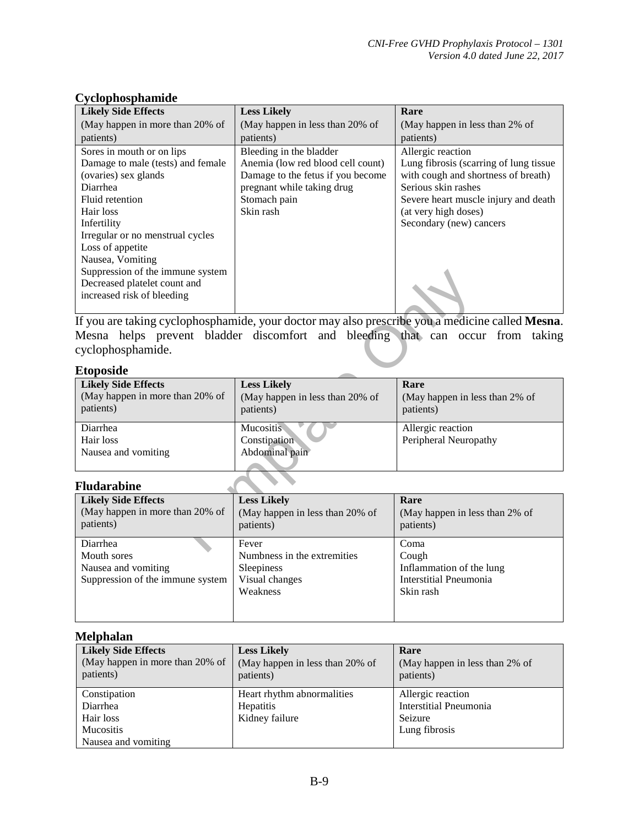| <b>Likely Side Effects</b>        | <b>Less Likely</b>                | Rare                                   |
|-----------------------------------|-----------------------------------|----------------------------------------|
| (May happen in more than 20% of   | (May happen in less than 20% of   | (May happen in less than 2% of         |
| patients)                         | patients)                         | patients)                              |
| Sores in mouth or on lips         | Bleeding in the bladder           | Allergic reaction                      |
| Damage to male (tests) and female | Anemia (low red blood cell count) | Lung fibrosis (scarring of lung tissue |
| (ovaries) sex glands              | Damage to the fetus if you become | with cough and shortness of breath)    |
| Diarrhea                          | pregnant while taking drug        | Serious skin rashes                    |
| Fluid retention                   | Stomach pain                      | Severe heart muscle injury and death   |
| Hair loss                         | Skin rash                         | (at very high doses)                   |
| Infertility                       |                                   | Secondary (new) cancers                |
| Irregular or no menstrual cycles  |                                   |                                        |
| Loss of appetite                  |                                   |                                        |
| Nausea, Vomiting                  |                                   |                                        |
| Suppression of the immune system  |                                   |                                        |
| Decreased platelet count and      |                                   |                                        |
| increased risk of bleeding        |                                   |                                        |
|                                   |                                   |                                        |

#### **Cyclophosphamide**

#### **Etoposide**

| Suppression of the immune system<br>Decreased platelet count and<br>increased risk of bleeding |                                                                    | If you are taking cyclophosphamide, your doctor may also prescribe you a medicine called Mesna. |
|------------------------------------------------------------------------------------------------|--------------------------------------------------------------------|-------------------------------------------------------------------------------------------------|
| cyclophosphamide.<br><b>Etoposide</b>                                                          |                                                                    | Mesna helps prevent bladder discomfort and bleeding that can occur from taking                  |
| <b>Likely Side Effects</b><br>(May happen in more than 20% of<br>patients)                     | <b>Less Likely</b><br>(May happen in less than 20% of<br>patients) | Rare<br>(May happen in less than 2% of<br>patients)                                             |
| Diarrhea<br>Hair loss<br>Nausea and vomiting                                                   | <b>Mucositis</b><br>Constipation<br>Abdominal pain                 | Allergic reaction<br>Peripheral Neuropathy                                                      |
| <b>Fludarabine</b>                                                                             |                                                                    |                                                                                                 |
| <b>Likely Side Effects</b><br>(May happen in more than 20% of<br>patients)                     | <b>Less Likely</b><br>(May happen in less than 20% of<br>patients) | Rare<br>(May happen in less than 2% of<br>patients)                                             |
| Diarrhea<br>Mouth sores                                                                        | Fever<br>Numbness in the extremities                               | Coma<br>Cough                                                                                   |

#### **Fludarabine**

| <b>Likely Side Effects</b><br>(May happen in more than 20% of<br>patients)         | <b>Less Likely</b><br>(May happen in less than 20% of<br>patients)               | Rare<br>(May happen in less than 2% of<br>patients)                                     |
|------------------------------------------------------------------------------------|----------------------------------------------------------------------------------|-----------------------------------------------------------------------------------------|
| Diarrhea<br>Mouth sores<br>Nausea and vomiting<br>Suppression of the immune system | Fever<br>Numbness in the extremities<br>Sleepiness<br>Visual changes<br>Weakness | Coma<br>Cough<br>Inflammation of the lung<br><b>Interstitial Pneumonia</b><br>Skin rash |
|                                                                                    |                                                                                  |                                                                                         |

#### **Melphalan**

| <b>Likely Side Effects</b><br>(May happen in more than 20% of<br>patients) | <b>Less Likely</b><br>(May happen in less than 20% of<br>patients) | Rare<br>(May happen in less than 2% of<br>patients) |
|----------------------------------------------------------------------------|--------------------------------------------------------------------|-----------------------------------------------------|
| Constipation                                                               | Heart rhythm abnormalities                                         | Allergic reaction                                   |
| Diarrhea                                                                   | Hepatitis                                                          | <b>Interstitial Pneumonia</b>                       |
| Hair loss                                                                  | Kidney failure                                                     | Seizure                                             |
| <b>Mucositis</b>                                                           |                                                                    | Lung fibrosis                                       |
| Nausea and vomiting                                                        |                                                                    |                                                     |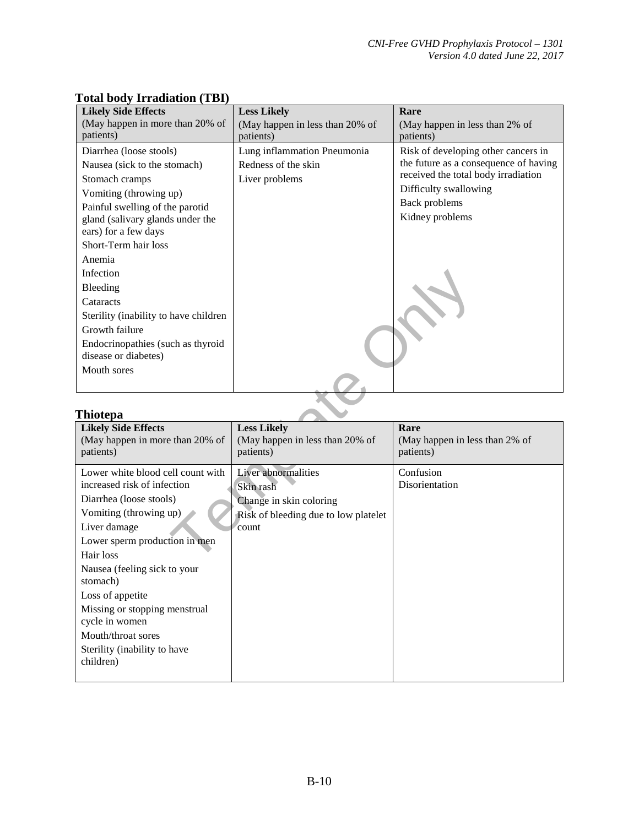| <b>Likely Side Effects</b>                                                                                                                                                                                  | <b>Less Likely</b>                                                   | Rare                                                                                                                                                                             |
|-------------------------------------------------------------------------------------------------------------------------------------------------------------------------------------------------------------|----------------------------------------------------------------------|----------------------------------------------------------------------------------------------------------------------------------------------------------------------------------|
| (May happen in more than 20% of<br>patients)                                                                                                                                                                | (May happen in less than 20% of<br>patients)                         | (May happen in less than 2% of<br>patients)                                                                                                                                      |
| Diarrhea (loose stools)<br>Nausea (sick to the stomach)<br>Stomach cramps<br>Vomiting (throwing up)<br>Painful swelling of the parotid<br>gland (salivary glands under the<br>ears) for a few days          | Lung inflammation Pneumonia<br>Redness of the skin<br>Liver problems | Risk of developing other cancers in<br>the future as a consequence of having<br>received the total body irradiation<br>Difficulty swallowing<br>Back problems<br>Kidney problems |
| Short-Term hair loss<br>Anemia<br>Infection<br>Bleeding<br>Cataracts<br>Sterility (inability to have children<br>Growth failure<br>Endocrinopathies (such as thyroid<br>disease or diabetes)<br>Mouth sores |                                                                      |                                                                                                                                                                                  |

#### **Total body Irradiation (TBI)**

#### **Thiotepa**

| Infection                             |                                      |                                |
|---------------------------------------|--------------------------------------|--------------------------------|
| Bleeding                              |                                      |                                |
| Cataracts                             |                                      |                                |
| Sterility (inability to have children |                                      |                                |
| Growth failure                        |                                      |                                |
| Endocrinopathies (such as thyroid     |                                      |                                |
| disease or diabetes)                  |                                      |                                |
| Mouth sores                           |                                      |                                |
|                                       |                                      |                                |
|                                       |                                      |                                |
| Thiotepa                              |                                      |                                |
| <b>Likely Side Effects</b>            | <b>Less Likely</b>                   | Rare                           |
| (May happen in more than 20% of       | (May happen in less than 20% of      | (May happen in less than 2% of |
| patients)                             | patients)                            | patients)                      |
| Lower white blood cell count with     | Liver abnormalities                  | Confusion                      |
| increased risk of infection           | Skin rash                            | Disorientation                 |
| Diarrhea (loose stools)               | Change in skin coloring              |                                |
| Vomiting (throwing up)                | Risk of bleeding due to low platelet |                                |
| Liver damage                          | count                                |                                |
| Lower sperm production in men         |                                      |                                |
| Hair loss                             |                                      |                                |
| Nausea (feeling sick to your          |                                      |                                |
| stomach)                              |                                      |                                |
| Loss of appetite                      |                                      |                                |
| Missing or stopping menstrual         |                                      |                                |
| cycle in women                        |                                      |                                |
| Mouth/throat sores                    |                                      |                                |
| Sterility (inability to have          |                                      |                                |
| children)                             |                                      |                                |
|                                       |                                      |                                |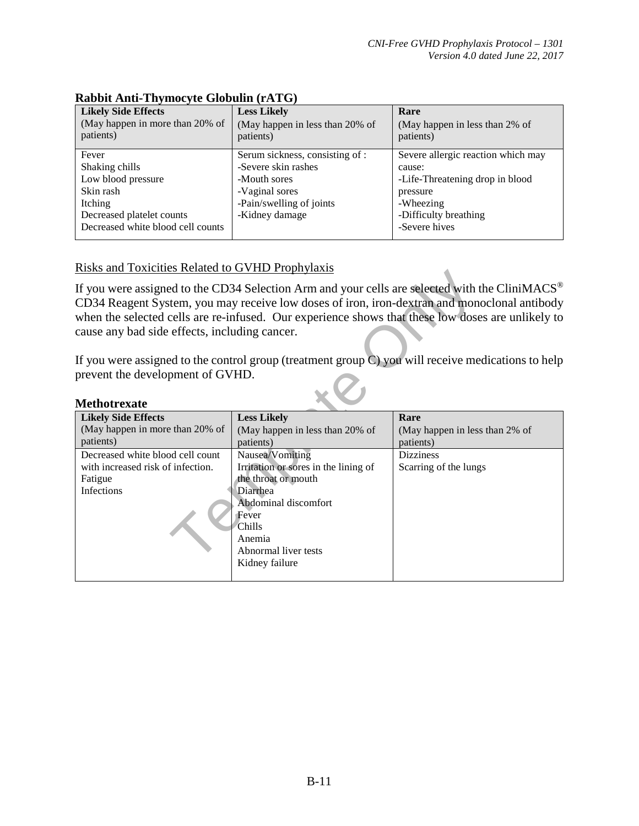| <b>Likely Side Effects</b><br>(May happen in more than 20% of<br>patients) | <b>Less Likely</b><br>(May happen in less than 20% of<br>patients) | Rare<br>(May happen in less than 2% of<br>patients) |
|----------------------------------------------------------------------------|--------------------------------------------------------------------|-----------------------------------------------------|
| Fever                                                                      | Serum sickness, consisting of :                                    | Severe allergic reaction which may                  |
| Shaking chills                                                             | -Severe skin rashes                                                | cause:                                              |
| Low blood pressure                                                         | -Mouth sores                                                       | -Life-Threatening drop in blood                     |
| Skin rash                                                                  | -Vaginal sores                                                     | pressure                                            |
| Itching                                                                    | -Pain/swelling of joints                                           | -Wheezing                                           |
| Decreased platelet counts                                                  | -Kidney damage                                                     | -Difficulty breathing                               |
| Decreased white blood cell counts                                          |                                                                    | -Severe hives                                       |

#### **Rabbit Anti-Thymocyte Globulin (rATG)**

#### Risks and Toxicities Related to GVHD Prophylaxis

| <b>Methotrexate</b> |
|---------------------|
|---------------------|

| NONS and TOARTHES INSTANCE TO VIID TIOPHYTUATS          |                                              |                                                                                                                                                                                                                                                                                                                 |
|---------------------------------------------------------|----------------------------------------------|-----------------------------------------------------------------------------------------------------------------------------------------------------------------------------------------------------------------------------------------------------------------------------------------------------------------|
| cause any bad side effects, including cancer.           |                                              | If you were assigned to the CD34 Selection Arm and your cells are selected with the CliniMACS <sup>®</sup><br>CD34 Reagent System, you may receive low doses of iron, iron-dextran and monoclonal antibody<br>when the selected cells are re-infused. Our experience shows that these low doses are unlikely to |
| prevent the development of GVHD.<br><b>Methotrexate</b> |                                              | If you were assigned to the control group (treatment group $C$ ) you will receive medications to help                                                                                                                                                                                                           |
| <b>Likely Side Effects</b>                              | <b>Less Likely</b>                           | Rare                                                                                                                                                                                                                                                                                                            |
| (May happen in more than 20% of<br>patients)            | (May happen in less than 20% of<br>patients) | (May happen in less than 2% of<br>patients)                                                                                                                                                                                                                                                                     |
| Decreased white blood cell count                        | Nausea/Vomiting                              | <b>Dizziness</b>                                                                                                                                                                                                                                                                                                |
| with increased risk of infection.                       | Irritation or sores in the lining of         | Scarring of the lungs                                                                                                                                                                                                                                                                                           |
| Fatigue                                                 | the throat or mouth                          |                                                                                                                                                                                                                                                                                                                 |
| Infections                                              | Diarrhea<br>Abdominal discomfort             |                                                                                                                                                                                                                                                                                                                 |
|                                                         | Fever                                        |                                                                                                                                                                                                                                                                                                                 |
|                                                         | Chills                                       |                                                                                                                                                                                                                                                                                                                 |
|                                                         | Anemia                                       |                                                                                                                                                                                                                                                                                                                 |
|                                                         | Abnormal liver tests                         |                                                                                                                                                                                                                                                                                                                 |
|                                                         | Kidney failure                               |                                                                                                                                                                                                                                                                                                                 |
|                                                         |                                              |                                                                                                                                                                                                                                                                                                                 |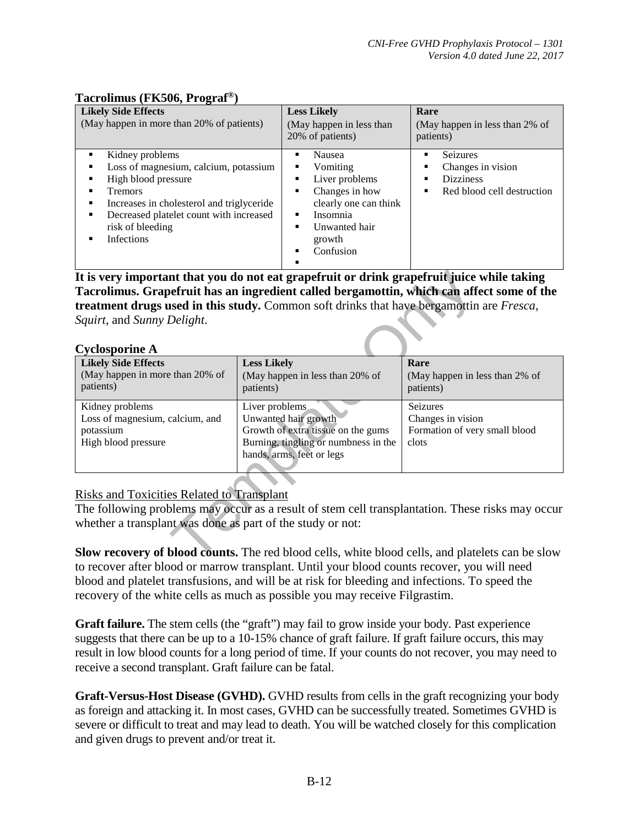#### **Tacrolimus (FK506, Prograf®)**

| <b>Likely Side Effects</b><br>(May happen in more than 20% of patients)                                                                                                                                                                    | <b>Less Likely</b><br>(May happen in less than<br>20% of patients)                                                                  | Rare<br>(May happen in less than 2% of<br>patients)                                    |
|--------------------------------------------------------------------------------------------------------------------------------------------------------------------------------------------------------------------------------------------|-------------------------------------------------------------------------------------------------------------------------------------|----------------------------------------------------------------------------------------|
| Kidney problems<br>Loss of magnesium, calcium, potassium<br>High blood pressure<br>٠<br><b>Tremors</b><br>Increases in cholesterol and triglyceride<br>٠<br>Decreased platelet count with increased<br>٠<br>risk of bleeding<br>Infections | Nausea<br>Vomiting<br>Liver problems<br>Changes in how<br>clearly one can think<br>Insomnia<br>Unwanted hair<br>growth<br>Confusion | <b>Seizures</b><br>Changes in vision<br><b>Dizziness</b><br>Red blood cell destruction |

|                                                            | It is very important that you do not eat grapefruit or drink grapefruit juice while taking              |                                |
|------------------------------------------------------------|---------------------------------------------------------------------------------------------------------|--------------------------------|
|                                                            | Tacrolimus. Grapefruit has an ingredient called bergamottin, which can affect some of the               |                                |
|                                                            | treatment drugs used in this study. Common soft drinks that have bergamottin are Fresca,                |                                |
| Squirt, and Sunny Delight.                                 |                                                                                                         |                                |
|                                                            |                                                                                                         |                                |
| <b>Cyclosporine A</b>                                      |                                                                                                         |                                |
| <b>Likely Side Effects</b>                                 | <b>Less Likely</b>                                                                                      | Rare                           |
| (May happen in more than 20% of                            | (May happen in less than 20% of                                                                         | (May happen in less than 2% of |
| patients)                                                  | patients)                                                                                               | patients)                      |
|                                                            |                                                                                                         |                                |
| Kidney problems                                            | Liver problems                                                                                          | Seizures                       |
| Loss of magnesium, calcium, and                            | Unwanted hair growth                                                                                    | Changes in vision              |
| potassium                                                  | Growth of extra tissue on the gums                                                                      | Formation of very small blood  |
| High blood pressure                                        | Burning, tingling or numbness in the                                                                    | clots                          |
|                                                            | hands, arms, feet or legs                                                                               |                                |
|                                                            |                                                                                                         |                                |
|                                                            |                                                                                                         |                                |
| <b>Risks and Toxicities Related to Transplant</b>          |                                                                                                         |                                |
|                                                            | The following problems may occur as a result of stem cell transplantation. These risks may occur        |                                |
|                                                            |                                                                                                         |                                |
| whether a transplant was done as part of the study or not: |                                                                                                         |                                |
|                                                            |                                                                                                         |                                |
|                                                            | <b>Slow recovery of blood counts.</b> The red blood cells, white blood cells, and platelets can be slow |                                |
|                                                            |                                                                                                         |                                |

#### Risks and Toxicities Related to Transplant

**Slow recovery of blood counts.** The red blood cells, white blood cells, and platelets can be slow to recover after blood or marrow transplant. Until your blood counts recover, you will need blood and platelet transfusions, and will be at risk for bleeding and infections. To speed the recovery of the white cells as much as possible you may receive Filgrastim.

**Graft failure.** The stem cells (the "graft") may fail to grow inside your body. Past experience suggests that there can be up to a 10-15% chance of graft failure. If graft failure occurs, this may result in low blood counts for a long period of time. If your counts do not recover, you may need to receive a second transplant. Graft failure can be fatal.

**Graft-Versus-Host Disease (GVHD).** GVHD results from cells in the graft recognizing your body as foreign and attacking it. In most cases, GVHD can be successfully treated. Sometimes GVHD is severe or difficult to treat and may lead to death. You will be watched closely for this complication and given drugs to prevent and/or treat it.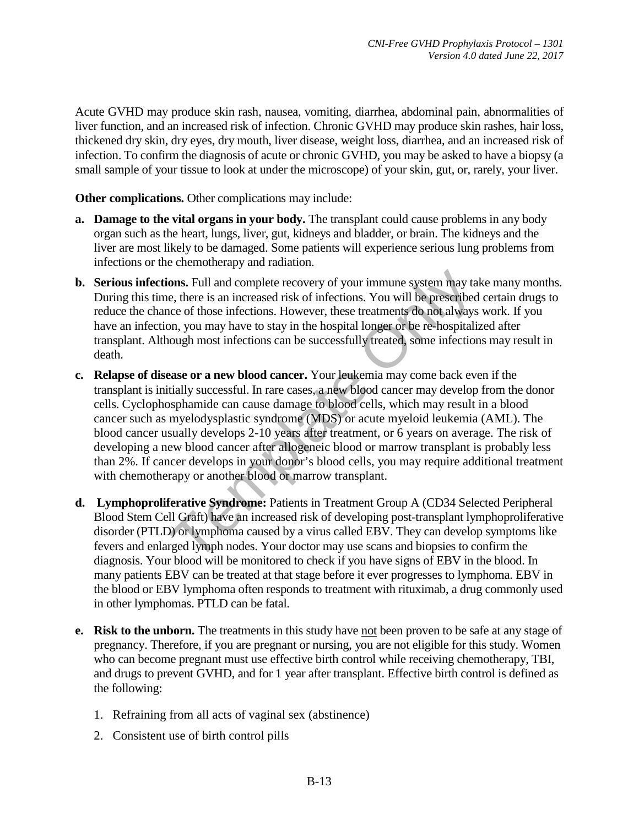Acute GVHD may produce skin rash, nausea, vomiting, diarrhea, abdominal pain, abnormalities of liver function, and an increased risk of infection. Chronic GVHD may produce skin rashes, hair loss, thickened dry skin, dry eyes, dry mouth, liver disease, weight loss, diarrhea, and an increased risk of infection. To confirm the diagnosis of acute or chronic GVHD, you may be asked to have a biopsy (a small sample of your tissue to look at under the microscope) of your skin, gut, or, rarely, your liver.

**Other complications.** Other complications may include:

- **a. Damage to the vital organs in your body.** The transplant could cause problems in any body organ such as the heart, lungs, liver, gut, kidneys and bladder, or brain. The kidneys and the liver are most likely to be damaged. Some patients will experience serious lung problems from infections or the chemotherapy and radiation.
- **b. Serious infections.** Full and complete recovery of your immune system may take many months. During this time, there is an increased risk of infections. You will be prescribed certain drugs to reduce the chance of those infections. However, these treatments do not always work. If you have an infection, you may have to stay in the hospital longer or be re-hospitalized after transplant. Although most infections can be successfully treated, some infections may result in death.
- **ons.** Full and complete recovery of your immune system may ta<br>e, there is an increased risk of infections. You will be prescribed<br>ce of those infections. However, these treatments do not always<br>on, you may have to stay in **c. Relapse of disease or a new blood cancer.** Your leukemia may come back even if the transplant is initially successful. In rare cases, a new blood cancer may develop from the donor cells. Cyclophosphamide can cause damage to blood cells, which may result in a blood cancer such as myelodysplastic syndrome (MDS) or acute myeloid leukemia (AML). The blood cancer usually develops 2-10 years after treatment, or 6 years on average. The risk of developing a new blood cancer after allogeneic blood or marrow transplant is probably less than 2%. If cancer develops in your donor's blood cells, you may require additional treatment with chemotherapy or another blood or marrow transplant.
- **d. Lymphoproliferative Syndrome:** Patients in Treatment Group A (CD34 Selected Peripheral Blood Stem Cell Graft) have an increased risk of developing post-transplant lymphoproliferative disorder (PTLD) or lymphoma caused by a virus called EBV. They can develop symptoms like fevers and enlarged lymph nodes. Your doctor may use scans and biopsies to confirm the diagnosis. Your blood will be monitored to check if you have signs of EBV in the blood. In many patients EBV can be treated at that stage before it ever progresses to lymphoma. EBV in the blood or EBV lymphoma often responds to treatment with rituximab, a drug commonly used in other lymphomas. PTLD can be fatal.
- **e.** Risk to the unborn. The treatments in this study have not been proven to be safe at any stage of pregnancy. Therefore, if you are pregnant or nursing, you are not eligible for this study. Women who can become pregnant must use effective birth control while receiving chemotherapy, TBI, and drugs to prevent GVHD, and for 1 year after transplant. Effective birth control is defined as the following:
	- 1. Refraining from all acts of vaginal sex (abstinence)
	- 2. Consistent use of birth control pills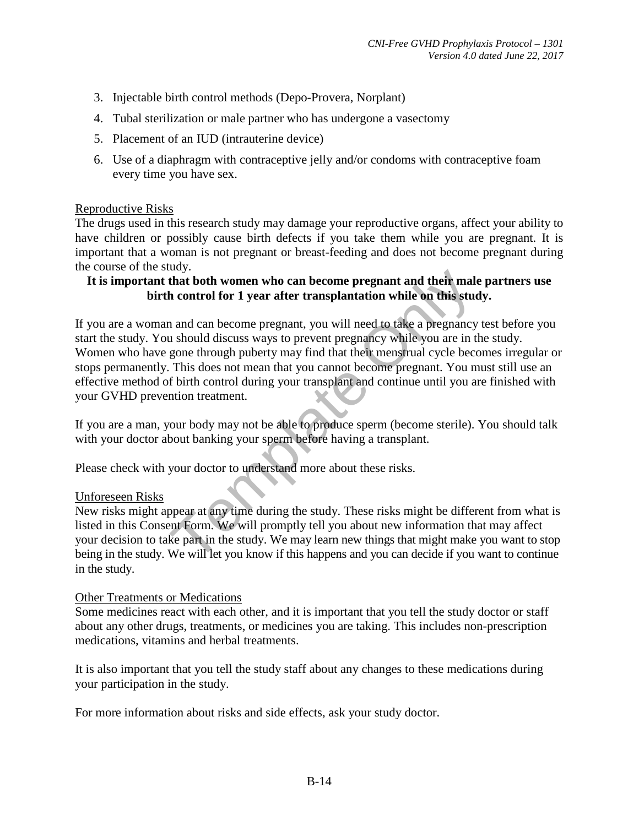- 3. Injectable birth control methods (Depo-Provera, Norplant)
- 4. Tubal sterilization or male partner who has undergone a vasectomy
- 5. Placement of an IUD (intrauterine device)
- 6. Use of a diaphragm with contraceptive jelly and/or condoms with contraceptive foam every time you have sex.

#### Reproductive Risks

The drugs used in this research study may damage your reproductive organs, affect your ability to have children or possibly cause birth defects if you take them while you are pregnant. It is important that a woman is not pregnant or breast-feeding and does not become pregnant during the course of the study.

#### **It is important that both women who can become pregnant and their male partners use birth control for 1 year after transplantation while on this study.**

The that both women who can become pregnant and their males.<br>
In that both women who can become pregnant and their males to the control for 1 year after transplantation while on this stude and an become pregnant, you will If you are a woman and can become pregnant, you will need to take a pregnancy test before you start the study. You should discuss ways to prevent pregnancy while you are in the study. Women who have gone through puberty may find that their menstrual cycle becomes irregular or stops permanently. This does not mean that you cannot become pregnant. You must still use an effective method of birth control during your transplant and continue until you are finished with your GVHD prevention treatment.

If you are a man, your body may not be able to produce sperm (become sterile). You should talk with your doctor about banking your sperm before having a transplant.

Please check with your doctor to understand more about these risks.

#### Unforeseen Risks

New risks might appear at any time during the study. These risks might be different from what is listed in this Consent Form. We will promptly tell you about new information that may affect your decision to take part in the study. We may learn new things that might make you want to stop being in the study. We will let you know if this happens and you can decide if you want to continue in the study.

#### Other Treatments or Medications

Some medicines react with each other, and it is important that you tell the study doctor or staff about any other drugs, treatments, or medicines you are taking. This includes non-prescription medications, vitamins and herbal treatments.

It is also important that you tell the study staff about any changes to these medications during your participation in the study.

For more information about risks and side effects, ask your study doctor.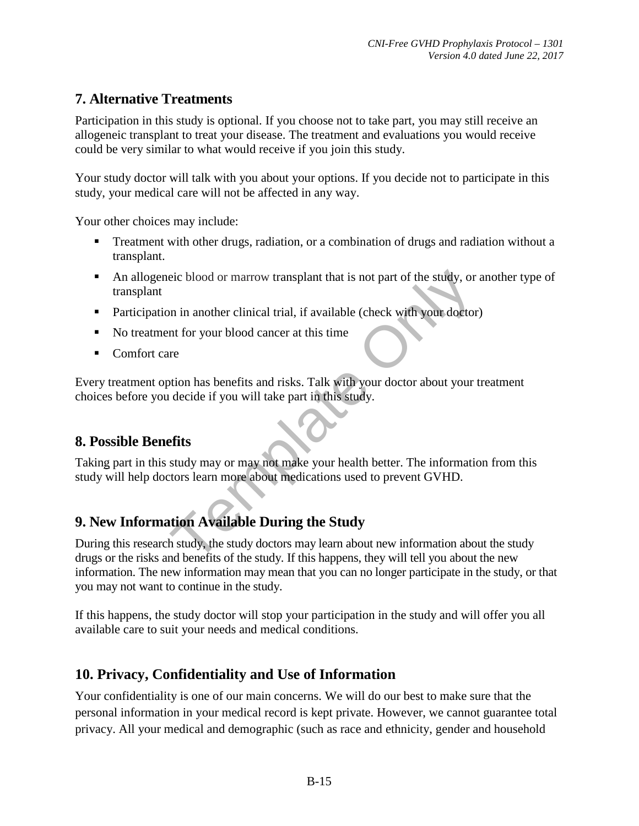# **7. Alternative Treatments**

Participation in this study is optional. If you choose not to take part, you may still receive an allogeneic transplant to treat your disease. The treatment and evaluations you would receive could be very similar to what would receive if you join this study.

Your study doctor will talk with you about your options. If you decide not to participate in this study, your medical care will not be affected in any way.

Your other choices may include:

- **Treatment with other drugs, radiation, or a combination of drugs and radiation without a** transplant.
- An allogeneic blood or marrow transplant that is not part of the study, or another type of transplant
- Participation in another clinical trial, if available (check with your doctor)
- No treatment for your blood cancer at this time
- Comfort care

eic blood or marrow transplant that is not part of the study, or<br>
in in another clinical trial, if available (check with your doctor<br>
in for your blood cancer at this time<br>
in the study of the study of the study.<br>
There of Every treatment option has benefits and risks. Talk with your doctor about your treatment choices before you decide if you will take part in this study.

# **8. Possible Benefits**

Taking part in this study may or may not make your health better. The information from this study will help doctors learn more about medications used to prevent GVHD.

# **9. New Information Available During the Study**

During this research study, the study doctors may learn about new information about the study drugs or the risks and benefits of the study. If this happens, they will tell you about the new information. The new information may mean that you can no longer participate in the study, or that you may not want to continue in the study.

If this happens, the study doctor will stop your participation in the study and will offer you all available care to suit your needs and medical conditions.

# **10. Privacy, Confidentiality and Use of Information**

Your confidentiality is one of our main concerns. We will do our best to make sure that the personal information in your medical record is kept private. However, we cannot guarantee total privacy. All your medical and demographic (such as race and ethnicity, gender and household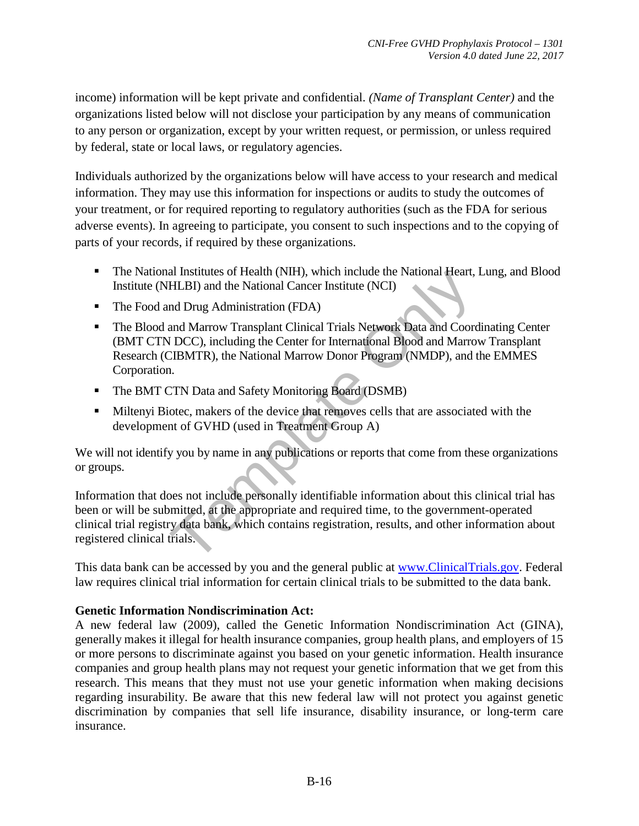income) information will be kept private and confidential. *(Name of Transplant Center)* and the organizations listed below will not disclose your participation by any means of communication to any person or organization, except by your written request, or permission, or unless required by federal, state or local laws, or regulatory agencies.

 Individuals authorized by the organizations below will have access to your research and medical information. They may use this information for inspections or audits to study the outcomes of your treatment, or for required reporting to regulatory authorities (such as the FDA for serious adverse events). In agreeing to participate, you consent to such inspections and to the copying of parts of your records, if required by these organizations.

- The National Institutes of Health (NIH), which include the National Heart, Lung, and Blood Institute (NHLBI) and the National Cancer Institute (NCI)
- The Food and Drug Administration (FDA)
- al Institutes of Health (NIH), which include the National Heart,<br>HLBI) and the National Cancer Institute (NCI)<br>nd Drug Administration (FDA)<br>and Marrow Transplant Clinical Trials Network Data and Coord<br>DCC), including the C The Blood and Marrow Transplant Clinical Trials Network Data and Coordinating Center (BMT CTN DCC), including the Center for International Blood and Marrow Transplant Research (CIBMTR), the National Marrow Donor Program (NMDP), and the EMMES Corporation.
- The BMT CTN Data and Safety Monitoring Board (DSMB)
- Miltenyi Biotec, makers of the device that removes cells that are associated with the development of GVHD (used in Treatment Group A)

We will not identify you by name in any publications or reports that come from these organizations or groups.

Information that does not include personally identifiable information about this clinical trial has been or will be submitted, at the appropriate and required time, to the government-operated clinical trial registry data bank, which contains registration, results, and other information about registered clinical trials.

This data bank can be accessed by you and the general public at [www.ClinicalTrials.gov.](https://mail.nmdp.org/owa/redir.aspx?C=b21a5a7f4e954fef8a2f6601173fc77a&URL=http%3a%2f%2fwww.ClinicalTrials.gov) Federal law requires clinical trial information for certain clinical trials to be submitted to the data bank.

#### **Genetic Information Nondiscrimination Act:**

A new federal law (2009), called the Genetic Information Nondiscrimination Act (GINA), generally makes it illegal for health insurance companies, group health plans, and employers of 15 or more persons to discriminate against you based on your genetic information. Health insurance companies and group health plans may not request your genetic information that we get from this research. This means that they must not use your genetic information when making decisions regarding insurability. Be aware that this new federal law will not protect you against genetic discrimination by companies that sell life insurance, disability insurance, or long-term care insurance.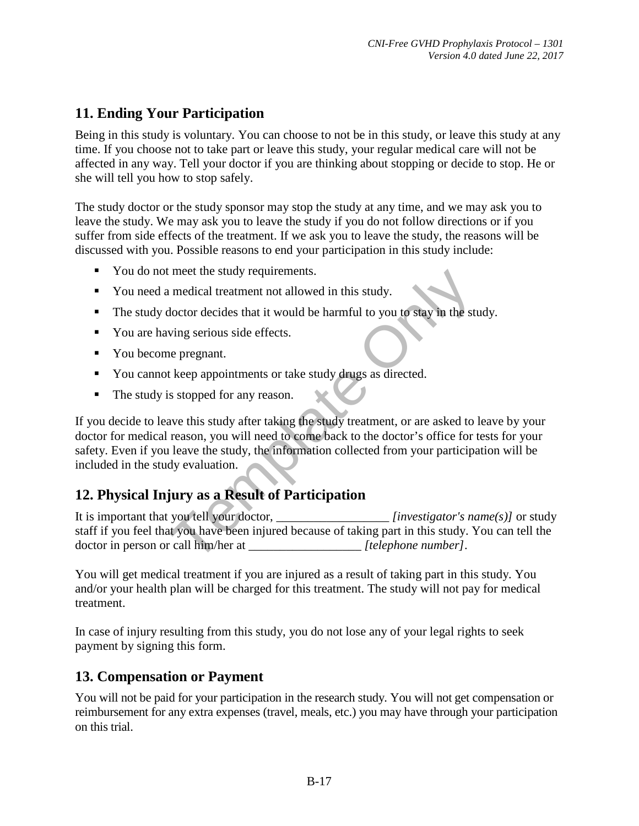# **11. Ending Your Participation**

Being in this study is voluntary. You can choose to not be in this study, or leave this study at any time. If you choose not to take part or leave this study, your regular medical care will not be affected in any way. Tell your doctor if you are thinking about stopping or decide to stop. He or she will tell you how to stop safely.

The study doctor or the study sponsor may stop the study at any time, and we may ask you to leave the study. We may ask you to leave the study if you do not follow directions or if you suffer from side effects of the treatment. If we ask you to leave the study, the reasons will be discussed with you. Possible reasons to end your participation in this study include:

- You do not meet the study requirements.
- You need a medical treatment not allowed in this study.
- The study doctor decides that it would be harmful to you to stay in the study.
- You are having serious side effects.
- You become pregnant.
- You cannot keep appointments or take study drugs as directed.
- The study is stopped for any reason.

meet the study requirements.<br>
In medical treatment not allowed in this study.<br>
Hoctor decides that it would be harmful to you to stay in the study<br>
ving serious side effects.<br>
Le pregnant.<br>
Exemplation is study after takin If you decide to leave this study after taking the study treatment, or are asked to leave by your doctor for medical reason, you will need to come back to the doctor's office for tests for your safety. Even if you leave the study, the information collected from your participation will be included in the study evaluation.

# **12. Physical Injury as a Result of Participation**

It is important that you tell your doctor, \_\_\_\_\_\_\_\_\_\_\_\_\_\_\_\_\_\_ *[investigator's name(s)]* or study staff if you feel that you have been injured because of taking part in this study. You can tell the doctor in person or call him/her at \_\_\_\_\_\_\_\_\_\_\_\_\_\_\_\_\_\_ *[telephone number]*.

You will get medical treatment if you are injured as a result of taking part in this study. You and/or your health plan will be charged for this treatment. The study will not pay for medical treatment.

In case of injury resulting from this study, you do not lose any of your legal rights to seek payment by signing this form.

# **13. Compensation or Payment**

You will not be paid for your participation in the research study. You will not get compensation or reimbursement for any extra expenses (travel, meals, etc.) you may have through your participation on this trial.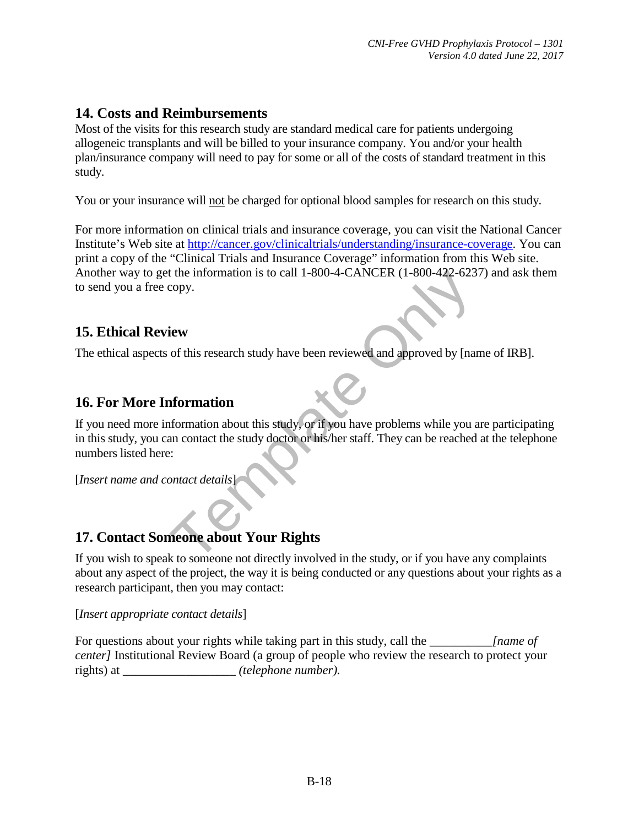# **14. Costs and Reimbursements**

Most of the visits for this research study are standard medical care for patients undergoing allogeneic transplants and will be billed to your insurance company. You and/or your health plan/insurance company will need to pay for some or all of the costs of standard treatment in this study.

You or your insurance will not be charged for optional blood samples for research on this study.

For more information on clinical trials and insurance coverage, you can visit the National Cancer Institute's Web site at [http://cancer.gov/clinicaltrials/understanding/insurance-coverage.](http://cancer.gov/clinicaltrials/understanding/insurance-coverage) You can print a copy of the "Clinical Trials and Insurance Coverage" information from this Web site. Another way to get the information is to call 1-800-4**-**CANCER (1-800-422-6237) and ask them to send you a free copy.

# **15. Ethical Review**

The ethical aspects of this research study have been reviewed and approved by [name of IRB].

# **16. For More Information**

The information is to call 1-800-4-CANCER (1-800-422-623<br>copy.<br> **Evaluation**<br> **Evaluation**<br> **Evaluation**<br> **Evaluation**<br> **Evaluation**<br> **Evaluation**<br> **Evaluation**<br> **Evaluation**<br> **Evaluation**<br> **Evaluation**<br> **Example Only 10**<br> If you need more information about this study, or if you have problems while you are participating in this study, you can contact the study doctor or his/her staff. They can be reached at the telephone numbers listed here:

[*Insert name and contact details*]

# **17. Contact Someone about Your Rights**

If you wish to speak to someone not directly involved in the study, or if you have any complaints about any aspect of the project, the way it is being conducted or any questions about your rights as a research participant, then you may contact:

[*Insert appropriate contact details*]

For questions about your rights while taking part in this study, call the \_\_\_\_\_\_\_\_\_\_*[name of center]* Institutional Review Board (a group of people who review the research to protect your rights) at \_\_\_\_\_\_\_\_\_\_\_\_\_\_\_\_\_\_ *(telephone number).*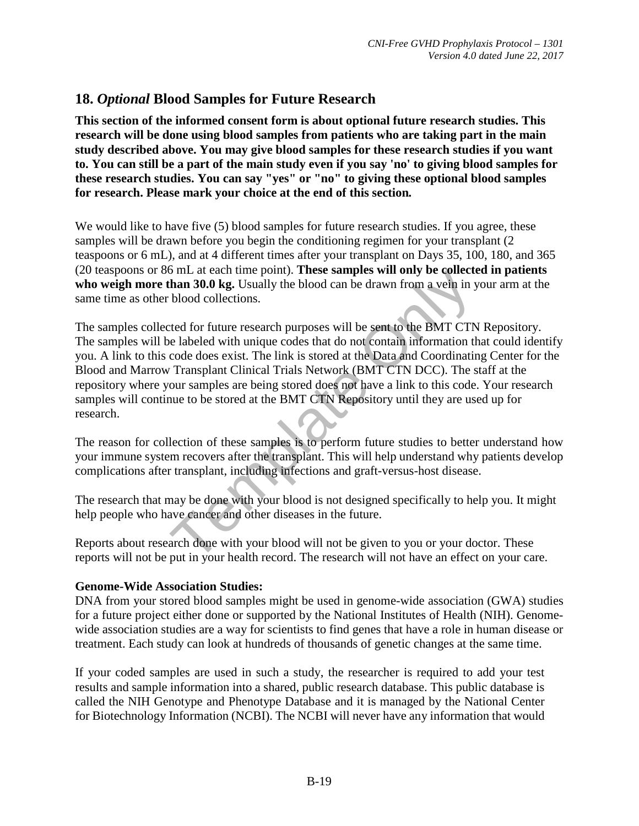# **18.** *Optional* **Blood Samples for Future Research**

**This section of the informed consent form is about optional future research studies. This research will be done using blood samples from patients who are taking part in the main study described above. You may give blood samples for these research studies if you want to. You can still be a part of the main study even if you say 'no' to giving blood samples for these research studies. You can say "yes" or "no" to giving these optional blood samples for research. Please mark your choice at the end of this section***.* 

We would like to have five (5) blood samples for future research studies. If you agree, these samples will be drawn before you begin the conditioning regimen for your transplant (2) teaspoons or 6 mL), and at 4 different times after your transplant on Days 35, 100, 180, and 365 (20 teaspoons or 86 mL at each time point). **These samples will only be collected in patients who weigh more than 30.0 kg.** Usually the blood can be drawn from a vein in your arm at the same time as other blood collections.

of the at each different point). These samples will only be conceed<br>than 30.0 kg. Usually the blood can be drawn from a vein in y<br>blood collections.<br>ted for future research purposes will be sent to the BMT CTN<br>e labeled wi The samples collected for future research purposes will be sent to the BMT CTN Repository. The samples will be labeled with unique codes that do not contain information that could identify you. A link to this code does exist. The link is stored at the Data and Coordinating Center for the Blood and Marrow Transplant Clinical Trials Network (BMT CTN DCC). The staff at the repository where your samples are being stored does not have a link to this code. Your research samples will continue to be stored at the BMT CTN Repository until they are used up for research.

The reason for collection of these samples is to perform future studies to better understand how your immune system recovers after the transplant. This will help understand why patients develop complications after transplant, including infections and graft-versus-host disease.

The research that may be done with your blood is not designed specifically to help you. It might help people who have cancer and other diseases in the future.

Reports about research done with your blood will not be given to you or your doctor. These reports will not be put in your health record. The research will not have an effect on your care.

#### **Genome-Wide Association Studies:**

DNA from your stored blood samples might be used in genome-wide association (GWA) studies for a future project either done or supported by the National Institutes of Health (NIH). Genomewide association studies are a way for scientists to find genes that have a role in human disease or treatment. Each study can look at hundreds of thousands of genetic changes at the same time.

If your coded samples are used in such a study, the researcher is required to add your test results and sample information into a shared, public research database. This public database is called the NIH Genotype and Phenotype Database and it is managed by the National Center for Biotechnology Information (NCBI). The NCBI will never have any information that would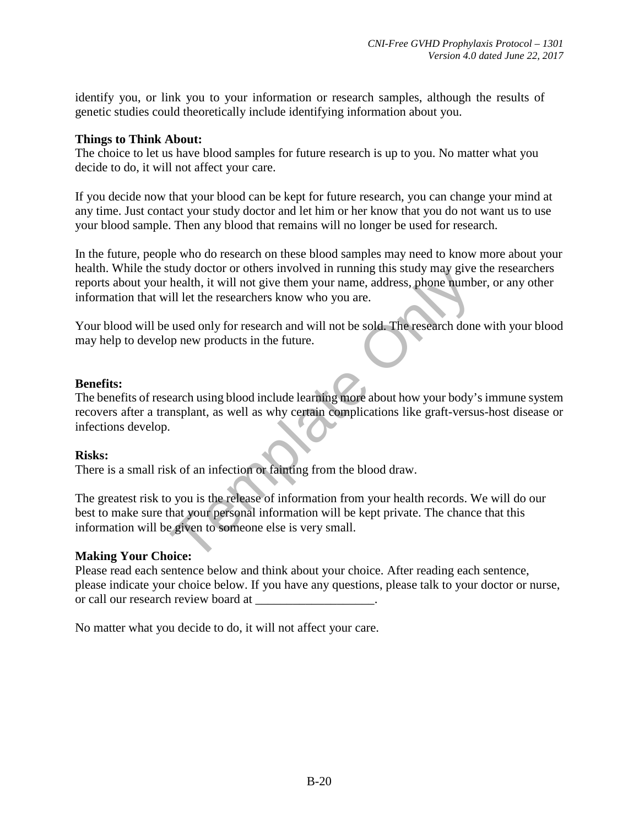identify you, or link you to your information or research samples, although the results of genetic studies could theoretically include identifying information about you.

#### **Things to Think About:**

The choice to let us have blood samples for future research is up to you. No matter what you decide to do, it will not affect your care.

If you decide now that your blood can be kept for future research, you can change your mind at any time. Just contact your study doctor and let him or her know that you do not want us to use your blood sample. Then any blood that remains will no longer be used for research.

In the future, people who do research on these blood samples may need to know more about your health. While the study doctor or others involved in running this study may give the researchers reports about your health, it will not give them your name, address, phone number, or any other information that will let the researchers know who you are.

Your blood will be used only for research and will not be sold. The research done with your blood may help to develop new products in the future.

#### **Benefits:**

The health, it will not give them your name, address, phone number<br>health, it will not give them your name, address, phone number<br>if let the researchers know who you are.<br>we used only for research and will not be sold. The The benefits of research using blood include learning more about how your body's immune system recovers after a transplant, as well as why certain complications like graft-versus-host disease or infections develop.

#### **Risks:**

There is a small risk of an infection or fainting from the blood draw.

The greatest risk to you is the release of information from your health records. We will do our best to make sure that your personal information will be kept private. The chance that this information will be given to someone else is very small.

#### **Making Your Choice:**

Please read each sentence below and think about your choice. After reading each sentence, please indicate your choice below. If you have any questions, please talk to your doctor or nurse, or call our research review board at  $\qquad \qquad$ 

No matter what you decide to do, it will not affect your care.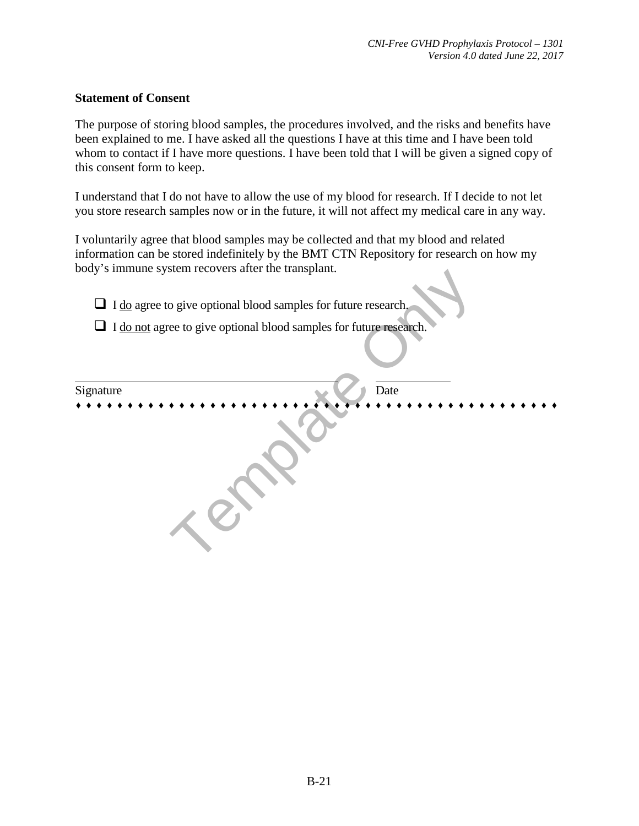#### **Statement of Consent**

The purpose of storing blood samples, the procedures involved, and the risks and benefits have been explained to me. I have asked all the questions I have at this time and I have been told whom to contact if I have more questions. I have been told that I will be given a signed copy of this consent form to keep.

I understand that I do not have to allow the use of my blood for research. If I decide to not let you store research samples now or in the future, it will not affect my medical care in any way.

I voluntarily agree that blood samples may be collected and that my blood and related information can be stored indefinitely by the BMT CTN Repository for research on how my body's immune system recovers after the transplant.

 $\Box$  I do agree to give optional blood samples for future research.

 $\Box$  I do not agree to give optional blood samples for future research.

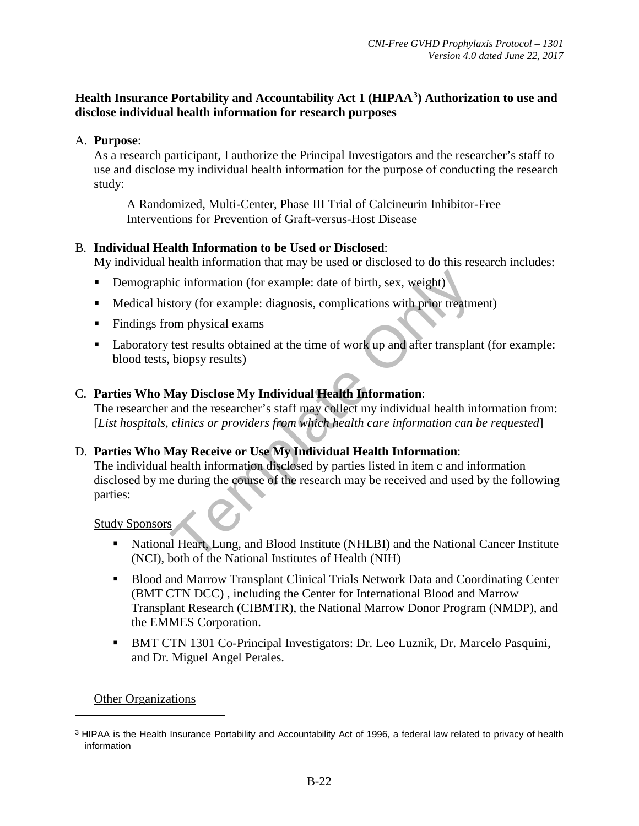#### **Health Insurance Portability and Accountability Act 1 (HIPAA[3](#page-21-0)) Authorization to use and disclose individual health information for research purposes**

#### A. **Purpose**:

As a research participant, I authorize the Principal Investigators and the researcher's staff to use and disclose my individual health information for the purpose of conducting the research study:

A Randomized, Multi-Center, Phase III Trial of Calcineurin Inhibitor-Free Interventions for Prevention of Graft-versus-Host Disease

#### B. **Individual Health Information to be Used or Disclosed**:

My individual health information that may be used or disclosed to do this research includes:

- Demographic information (for example: date of birth, sex, weight)
- Medical history (for example: diagnosis, complications with prior treatment).
- Findings from physical exams.
- Laboratory test results obtained at the time of work up and after transplant (for example: blood tests, biopsy results).

#### C. **Parties Who May Disclose My Individual Health Information**:

The researcher and the researcher's staff may collect my individual health information from: [*List hospitals, clinics or providers from which health care information can be requested*].

#### D. **Parties Who May Receive or Use My Individual Health Information**:

inc information (for example: date of birth, sex, weight)<br>story (for example: diagnosis, complications with prior treatmom<br>physical exams<br>test results obtained at the time of work up and after transplar<br>biopsy results)<br>**Aa** The individual health information disclosed by parties listed in item c and information disclosed by me during the course of the research may be received and used by the following parties:

Study Sponsors

- National Heart, Lung, and Blood Institute (NHLBI) and the National Cancer Institute (NCI), both of the National Institutes of Health (NIH)
- **Blood and Marrow Transplant Clinical Trials Network Data and Coordinating Center** (BMT CTN DCC) , including the Center for International Blood and Marrow Transplant Research (CIBMTR), the National Marrow Donor Program (NMDP), and the EMMES Corporation.
- BMT CTN 1301 Co-Principal Investigators: Dr. Leo Luznik, Dr. Marcelo Pasquini, and Dr. Miguel Angel Perales.

#### **Other Organizations**

 $\overline{a}$ 

<span id="page-21-0"></span><sup>&</sup>lt;sup>3</sup> HIPAA is the Health Insurance Portability and Accountability Act of 1996, a federal law related to privacy of health information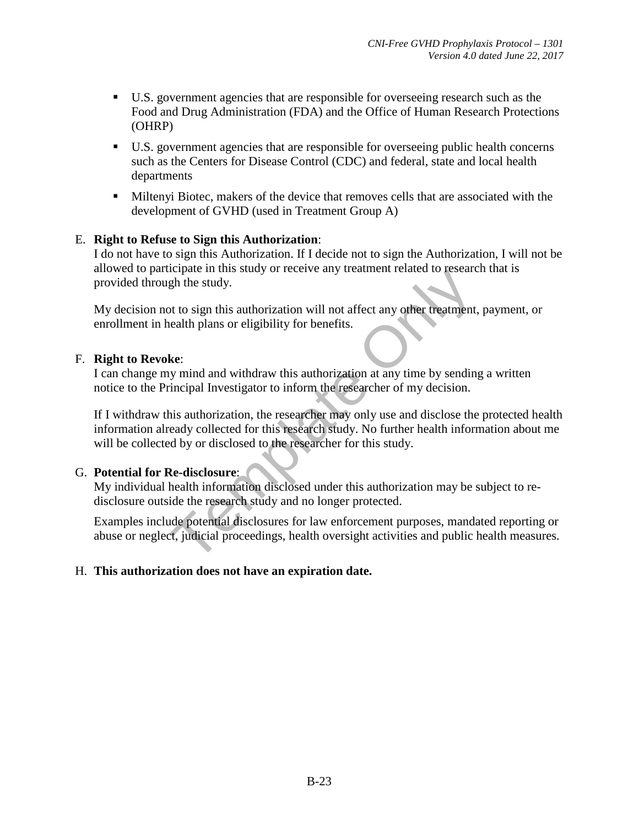- U.S. government agencies that are responsible for overseeing research such as the Food and Drug Administration (FDA) and the Office of Human Research Protections (OHRP)
- U.S. government agencies that are responsible for overseeing public health concerns such as the Centers for Disease Control (CDC) and federal, state and local health departments
- Miltenyi Biotec, makers of the device that removes cells that are associated with the development of GVHD (used in Treatment Group A)

#### E. **Right to Refuse to Sign this Authorization**:

I do not have to sign this Authorization. If I decide not to sign the Authorization, I will not be allowed to participate in this study or receive any treatment related to research that is provided through the study.

My decision not to sign this authorization will not affect any other treatment, payment, or enrollment in health plans or eligibility for benefits.

#### F. **Right to Revoke**:

I can change my mind and withdraw this authorization at any time by sending a written notice to the Principal Investigator to inform the researcher of my decision.

Example In this state of receiver any detailed the study.<br>
The study,<br>
to to sign this authorization will not affect any other treatment,<br>
health plans or eligibility for benefits.<br> **Ke:**<br>
We mind and withdraw this authori If I withdraw this authorization, the researcher may only use and disclose the protected health information already collected for this research study. No further health information about me will be collected by or disclosed to the researcher for this study.

#### G. **Potential for Re-disclosure**:

My individual health information disclosed under this authorization may be subject to redisclosure outside the research study and no longer protected.

Examples include potential disclosures for law enforcement purposes, mandated reporting or abuse or neglect, judicial proceedings, health oversight activities and public health measures.

#### H. **This authorization does not have an expiration date.**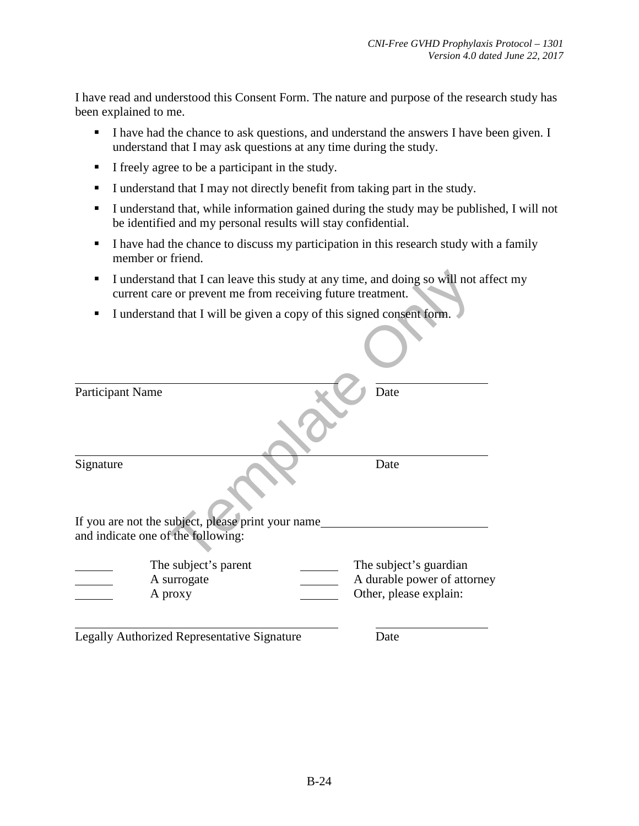I have read and understood this Consent Form. The nature and purpose of the research study has been explained to me.

- I have had the chance to ask questions, and understand the answers I have been given. I understand that I may ask questions at any time during the study.
- I freely agree to be a participant in the study.
- I understand that I may not directly benefit from taking part in the study.
- I understand that, while information gained during the study may be published, I will not be identified and my personal results will stay confidential.
- I have had the chance to discuss my participation in this research study with a family member or friend.
- I understand that I can leave this study at any time, and doing so will not affect my current care or prevent me from receiving future treatment.
- I understand that I will be given a copy of this signed consent form.

| ■                | current care or prevent me from receiving future treatment.                              | I understand that I can leave this study at any time, and doing so will not affe |
|------------------|------------------------------------------------------------------------------------------|----------------------------------------------------------------------------------|
| п                | I understand that I will be given a copy of this signed consent form.                    |                                                                                  |
|                  |                                                                                          |                                                                                  |
| Participant Name |                                                                                          | Date                                                                             |
| Signature        |                                                                                          | Date                                                                             |
|                  | If you are not the subject, please print your name<br>and indicate one of the following: |                                                                                  |
|                  | The subject's parent<br>A surrogate<br>A proxy                                           | The subject's guardian<br>A durable power of attorney<br>Other, please explain:  |
|                  | Legally Authorized Representative Signature                                              | Date                                                                             |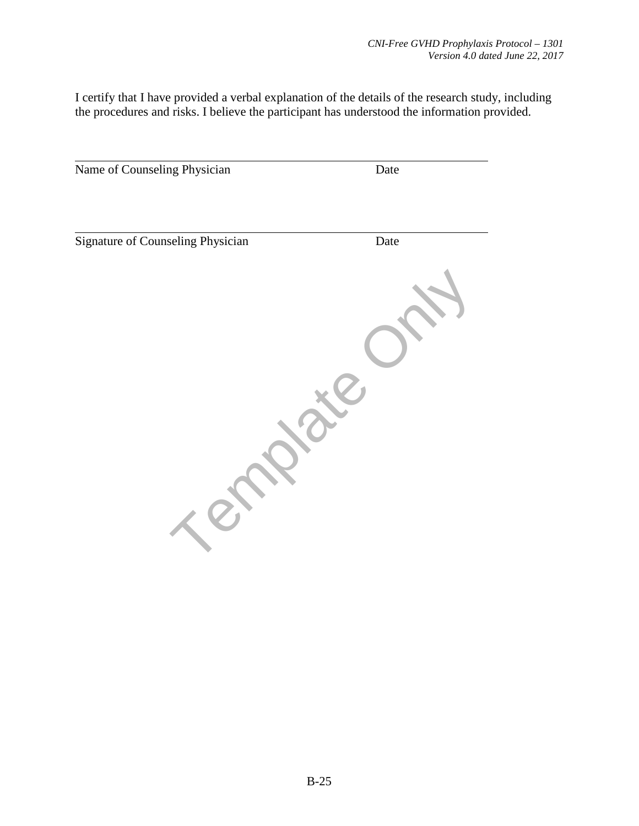I certify that I have provided a verbal explanation of the details of the research study, including the procedures and risks. I believe the participant has understood the information provided.

| Name of Counseling Physician      | Date |
|-----------------------------------|------|
|                                   |      |
| Signature of Counseling Physician | Date |
|                                   |      |
|                                   |      |
|                                   |      |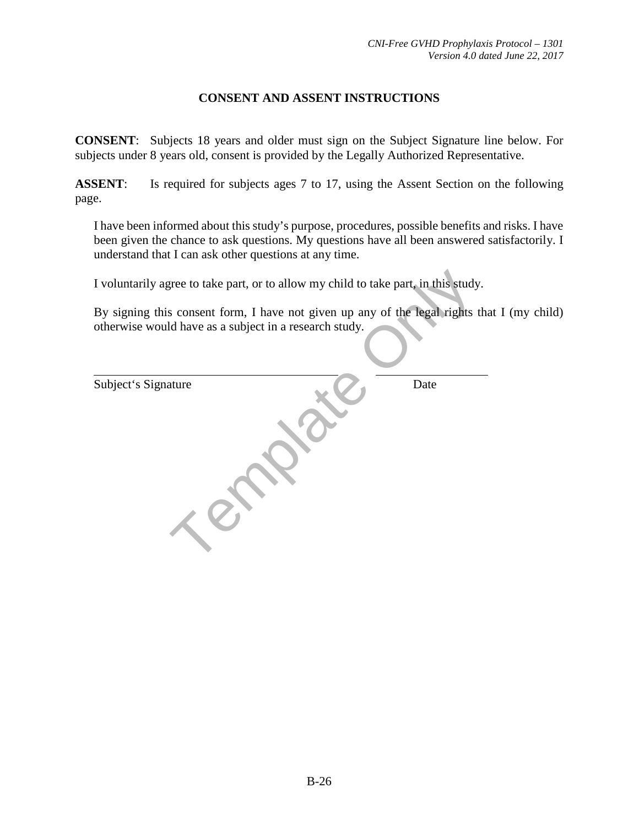#### **CONSENT AND ASSENT INSTRUCTIONS**

**CONSENT**: Subjects 18 years and older must sign on the Subject Signature line below. For subjects under 8 years old, consent is provided by the Legally Authorized Representative.

**ASSENT**: Is required for subjects ages 7 to 17, using the Assent Section on the following page.

I have been informed about this study's purpose, procedures, possible benefits and risks. I have been given the chance to ask questions. My questions have all been answered satisfactorily. I understand that I can ask other questions at any time.

By signing this consent form, I have not given up any of the legal rights that I (my child) otherwise would have as a subject in a research study.

| I voluntarily agree to take part, or to allow my child to take part, in this study.                                                     |      |
|-----------------------------------------------------------------------------------------------------------------------------------------|------|
| By signing this consent form, I have not given up any of the legal rights the<br>otherwise would have as a subject in a research study. |      |
| Subject's Signature                                                                                                                     | Date |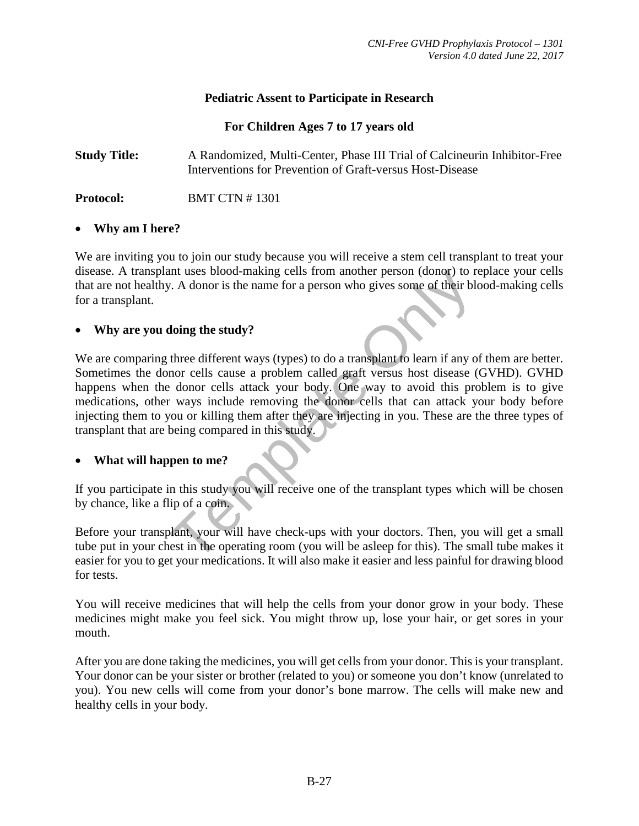#### **Pediatric Assent to Participate in Research**

#### **For Children Ages 7 to 17 years old**

**Study Title:** A Randomized, Multi-Center, Phase III Trial of Calcineurin Inhibitor-Free Interventions for Prevention of Graft-versus Host-Disease

**Protocol:** BMT CTN # 1301

#### • **Why am I here?**

We are inviting you to join our study because you will receive a stem cell transplant to treat your disease. A transplant uses blood-making cells from another person (donor) to replace your cells that are not healthy. A donor is the name for a person who gives some of their blood-making cells for a transplant.

#### • **Why are you doing the study?**

In this study<br>
The access the manner person who gives some of their blow. A donor is the name for a person who gives some of their blow<br>
doing the study?<br>
three different ways (types) to do a transplant to learn if any o<br> We are comparing three different ways (types) to do a transplant to learn if any of them are better. Sometimes the donor cells cause a problem called graft versus host disease (GVHD). GVHD happens when the donor cells attack your body. One way to avoid this problem is to give medications, other ways include removing the donor cells that can attack your body before injecting them to you or killing them after they are injecting in you. These are the three types of transplant that are being compared in this study.

#### • **What will happen to me?**

If you participate in this study you will receive one of the transplant types which will be chosen by chance, like a flip of a coin.

Before your transplant, your will have check-ups with your doctors. Then, you will get a small tube put in your chest in the operating room (you will be asleep for this). The small tube makes it easier for you to get your medications. It will also make it easier and less painful for drawing blood for tests.

You will receive medicines that will help the cells from your donor grow in your body. These medicines might make you feel sick. You might throw up, lose your hair, or get sores in your mouth.

After you are done taking the medicines, you will get cells from your donor. This is your transplant. Your donor can be your sister or brother (related to you) or someone you don't know (unrelated to you). You new cells will come from your donor's bone marrow. The cells will make new and healthy cells in your body.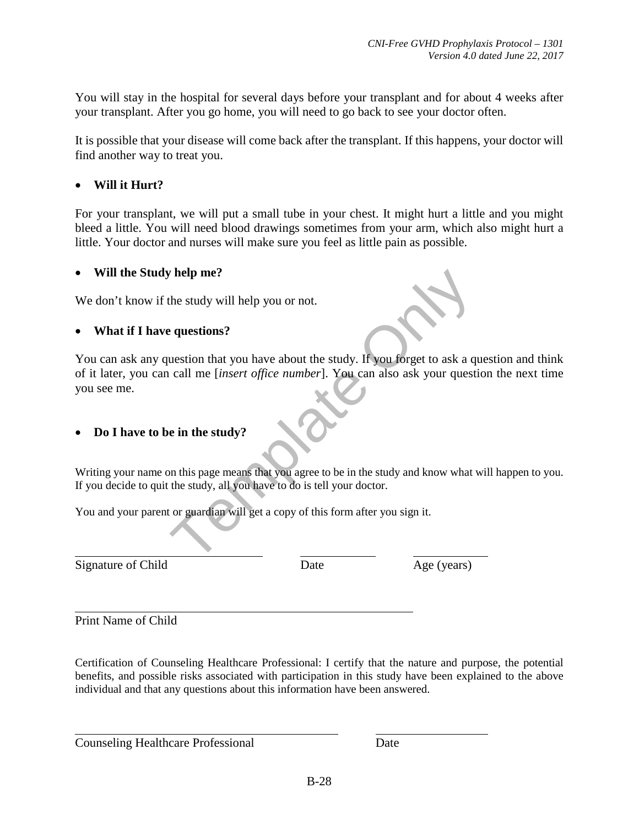You will stay in the hospital for several days before your transplant and for about 4 weeks after your transplant. After you go home, you will need to go back to see your doctor often.

It is possible that your disease will come back after the transplant. If this happens, your doctor will find another way to treat you.

#### • **Will it Hurt?**

For your transplant, we will put a small tube in your chest. It might hurt a little and you might bleed a little. You will need blood drawings sometimes from your arm, which also might hurt a little. Your doctor and nurses will make sure you feel as little pain as possible.

#### • **Will the Study help me?**

We don't know if the study will help you or not.

#### • **What if I have questions?**

The study will help you or not.<br>
e questions?<br>
uestion that you have about the study. If you forget to ask a quall me [*insert office number*]. You can also ask your question<br>
e in the study?<br>
e in the study?<br>
on this pag You can ask any question that you have about the study. If you forget to ask a question and think of it later, you can call me [*insert office number*]. You can also ask your question the next time you see me.

#### • **Do I have to be in the study?**

Writing your name on this page means that you agree to be in the study and know what will happen to you. If you decide to quit the study, all you have to do is tell your doctor.

You and your parent or guardian will get a copy of this form after you sign it.

 $\overline{a}$ Signature of Child Date Date Age (years)

 $\overline{a}$ Print Name of Child

 $\overline{a}$ 

Certification of Counseling Healthcare Professional: I certify that the nature and purpose, the potential benefits, and possible risks associated with participation in this study have been explained to the above individual and that any questions about this information have been answered.

Counseling Healthcare Professional Date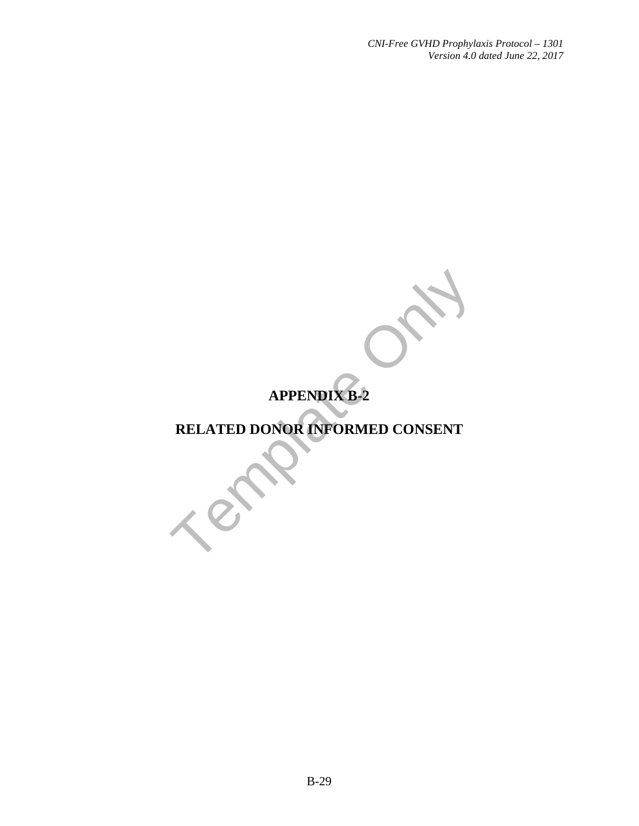# **APPENDIX B-2**

# APPENDIX B-2<br>RELATED DONOR INFORMED CONSENT **RELATED DONOR INFORMED CONSENT**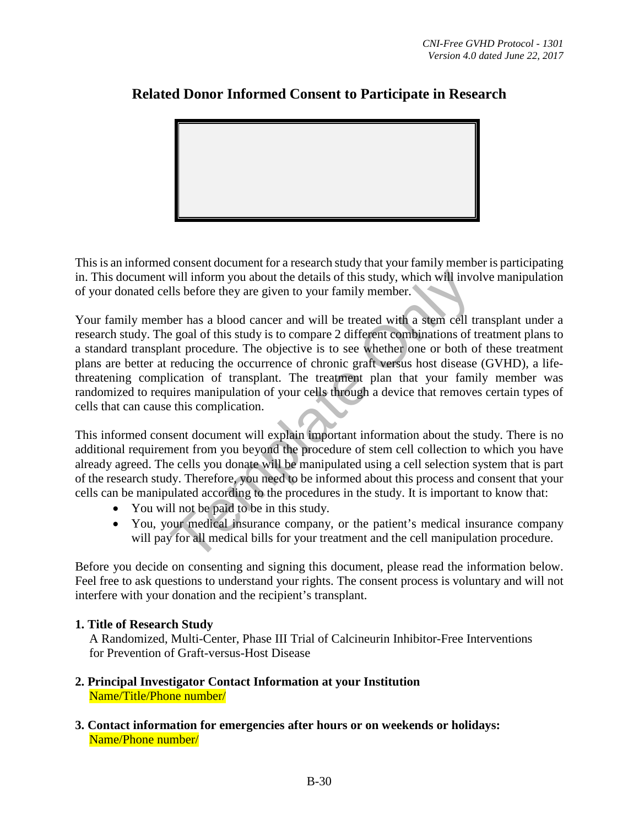

# **Related Donor Informed Consent to Participate in Research**

This is an informed consent document for a research study that your family member is participating in. This document will inform you about the details of this study, which will involve manipulation of your donated cells before they are given to your family member.

will inform you about the details of this study, which will involls before they are given to your family member.<br>
ber has a blood cancer and will be treated with a stem cell tre goal of this study is to compare 2 different Your family member has a blood cancer and will be treated with a stem cell transplant under a research study. The goal of this study is to compare 2 different combinations of treatment plans to a standard transplant procedure. The objective is to see whether one or both of these treatment plans are better at reducing the occurrence of chronic graft versus host disease (GVHD), a lifethreatening complication of transplant. The treatment plan that your family member was randomized to requires manipulation of your cells through a device that removes certain types of cells that can cause this complication.

This informed consent document will explain important information about the study. There is no additional requirement from you beyond the procedure of stem cell collection to which you have already agreed. The cells you donate will be manipulated using a cell selection system that is part of the research study. Therefore, you need to be informed about this process and consent that your cells can be manipulated according to the procedures in the study. It is important to know that:

- You will not be paid to be in this study.
- You, your medical insurance company, or the patient's medical insurance company will pay for all medical bills for your treatment and the cell manipulation procedure.

Before you decide on consenting and signing this document, please read the information below. Feel free to ask questions to understand your rights. The consent process is voluntary and will not interfere with your donation and the recipient's transplant.

#### **1. Title of Research Study**

A Randomized, Multi-Center, Phase III Trial of Calcineurin Inhibitor-Free Interventions for Prevention of Graft-versus-Host Disease

- **2. Principal Investigator Contact Information at your Institution**  Name/Title/Phone number/
- **3. Contact information for emergencies after hours or on weekends or holidays:** Name/Phone number/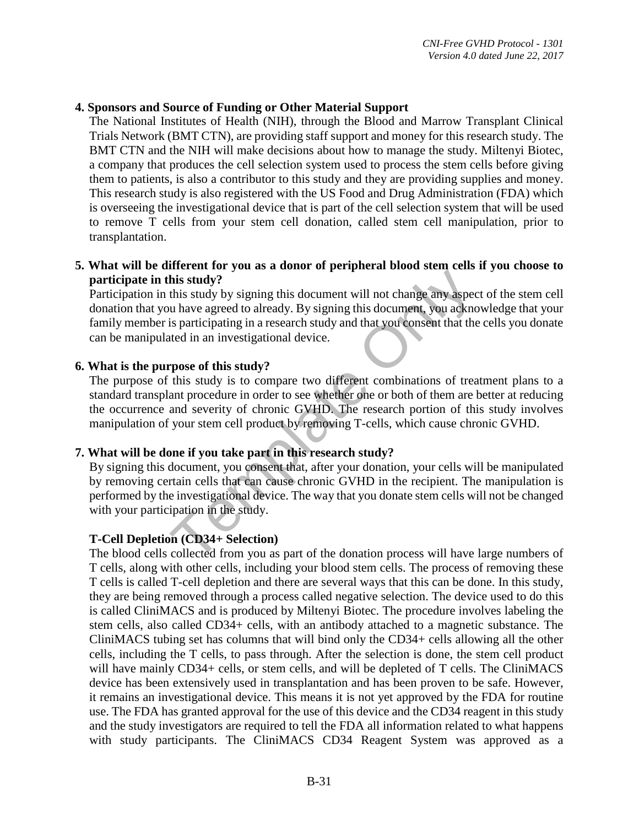#### **4. Sponsors and Source of Funding or Other Material Support**

The National Institutes of Health (NIH), through the Blood and Marrow Transplant Clinical Trials Network (BMT CTN), are providing staff support and money for this research study. The BMT CTN and the NIH will make decisions about how to manage the study. Miltenyi Biotec, a company that produces the cell selection system used to process the stem cells before giving them to patients, is also a contributor to this study and they are providing supplies and money. This research study is also registered with the US Food and Drug Administration (FDA) which is overseeing the investigational device that is part of the cell selection system that will be used to remove T cells from your stem cell donation, called stem cell manipulation, prior to transplantation.

#### **5. What will be different for you as a donor of peripheral blood stem cells if you choose to participate in this study?**

Participation in this study by signing this document will not change any aspect of the stem cell donation that you have agreed to already. By signing this document, you acknowledge that your family member is participating in a research study and that you consent that the cells you donate can be manipulated in an investigational device.

#### **6. What is the purpose of this study?**

The purpose of this study is to compare two different combinations of treatment plans to a standard transplant procedure in order to see whether one or both of them are better at reducing the occurrence and severity of chronic GVHD. The research portion of this study involves manipulation of your stem cell product by removing T-cells, which cause chronic GVHD.

#### **7. What will be done if you take part in this research study?**

This study?<br>
this study?<br>
this study by signing this document will not change any aspeculated in an investigational device.<br> **Example 18 is allow to the analytic System Constant Example 10** that the<br>
the did in an investig By signing this document, you consent that, after your donation, your cells will be manipulated by removing certain cells that can cause chronic GVHD in the recipient. The manipulation is performed by the investigational device. The way that you donate stem cells will not be changed with your participation in the study.

#### **T-Cell Depletion (CD34+ Selection)**

The blood cells collected from you as part of the donation process will have large numbers of T cells, along with other cells, including your blood stem cells. The process of removing these T cells is called T-cell depletion and there are several ways that this can be done. In this study, they are being removed through a process called negative selection. The device used to do this is called CliniMACS and is produced by Miltenyi Biotec. The procedure involves labeling the stem cells, also called CD34+ cells, with an antibody attached to a magnetic substance. The CliniMACS tubing set has columns that will bind only the CD34+ cells allowing all the other cells, including the T cells, to pass through. After the selection is done, the stem cell product will have mainly CD34+ cells, or stem cells, and will be depleted of T cells. The CliniMACS device has been extensively used in transplantation and has been proven to be safe. However, it remains an investigational device. This means it is not yet approved by the FDA for routine use. The FDA has granted approval for the use of this device and the CD34 reagent in this study and the study investigators are required to tell the FDA all information related to what happens with study participants. The CliniMACS CD34 Reagent System was approved as a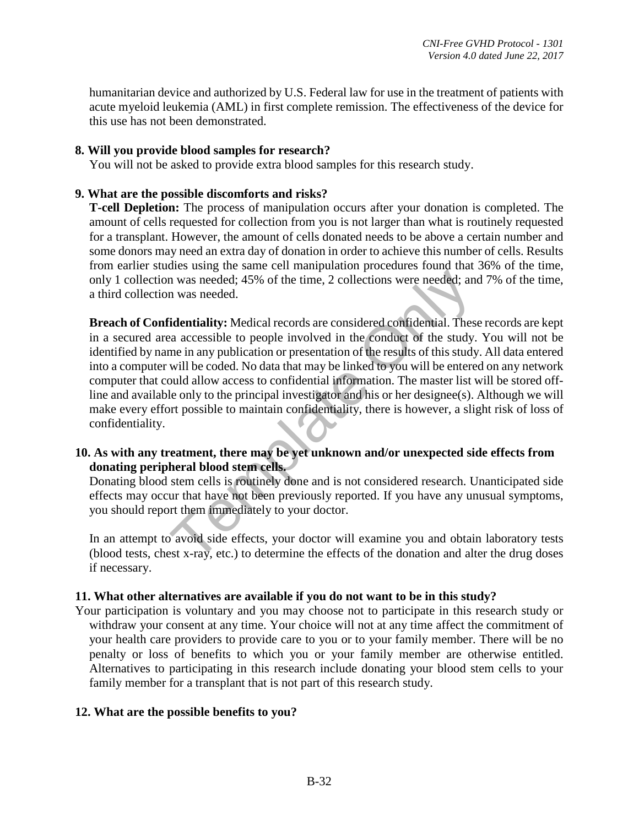humanitarian device and authorized by U.S. Federal law for use in the treatment of patients with acute myeloid leukemia (AML) in first complete remission. The effectiveness of the device for this use has not been demonstrated.

#### **8. Will you provide blood samples for research?**

You will not be asked to provide extra blood samples for this research study.

#### **9. What are the possible discomforts and risks?**

**T-cell Depletion:** The process of manipulation occurs after your donation is completed. The amount of cells requested for collection from you is not larger than what is routinely requested for a transplant. However, the amount of cells donated needs to be above a certain number and some donors may need an extra day of donation in order to achieve this number of cells. Results from earlier studies using the same cell manipulation procedures found that 36% of the time, only 1 collection was needed; 45% of the time, 2 collections were needed; and 7% of the time, a third collection was needed.

In was needed; 45% of the time, 2 collections were needed; and was needed. The measured confidential. These a accessible to people involved in the conduct of the study. The study will be coded. No odat that may be linked t **Breach of Confidentiality:** Medical records are considered confidential. These records are kept in a secured area accessible to people involved in the conduct of the study. You will not be identified by name in any publication or presentation of the results of this study. All data entered into a computer will be coded. No data that may be linked to you will be entered on any network computer that could allow access to confidential information. The master list will be stored offline and available only to the principal investigator and his or her designee(s). Although we will make every effort possible to maintain confidentiality, there is however, a slight risk of loss of confidentiality.

#### **10. As with any treatment, there may be yet unknown and/or unexpected side effects from donating peripheral blood stem cells.**

Donating blood stem cells is routinely done and is not considered research. Unanticipated side effects may occur that have not been previously reported. If you have any unusual symptoms, you should report them immediately to your doctor.

In an attempt to avoid side effects, your doctor will examine you and obtain laboratory tests (blood tests, chest x-ray, etc.) to determine the effects of the donation and alter the drug doses if necessary.

#### **11. What other alternatives are available if you do not want to be in this study?**

Your participation is voluntary and you may choose not to participate in this research study or withdraw your consent at any time. Your choice will not at any time affect the commitment of your health care providers to provide care to you or to your family member. There will be no penalty or loss of benefits to which you or your family member are otherwise entitled. Alternatives to participating in this research include donating your blood stem cells to your family member for a transplant that is not part of this research study.

#### **12. What are the possible benefits to you?**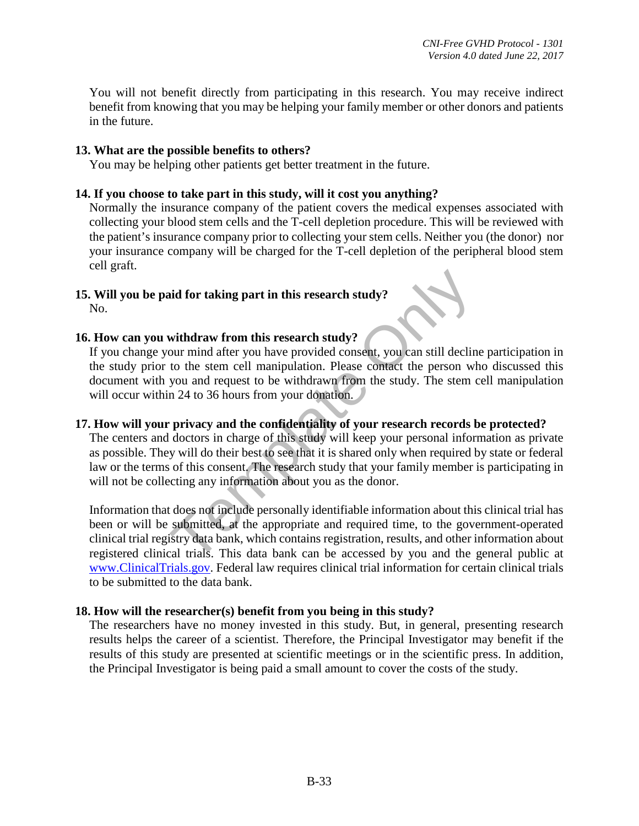You will not benefit directly from participating in this research. You may receive indirect benefit from knowing that you may be helping your family member or other donors and patients in the future.

#### **13. What are the possible benefits to others?**

You may be helping other patients get better treatment in the future.

#### **14. If you choose to take part in this study, will it cost you anything?**

Normally the insurance company of the patient covers the medical expenses associated with collecting your blood stem cells and the T-cell depletion procedure. This will be reviewed with the patient's insurance company prior to collecting your stem cells. Neither you (the donor) nor your insurance company will be charged for the T-cell depletion of the peripheral blood stem cell graft.

#### **15. Will you be paid for taking part in this research study?**  No.

#### **16. How can you withdraw from this research study?**

If you change your mind after you have provided consent, you can still decline participation in the study prior to the stem cell manipulation. Please contact the person who discussed this document with you and request to be withdrawn from the study. The stem cell manipulation will occur within 24 to 36 hours from your donation.

#### **17. How will your privacy and the confidentiality of your research records be protected?**

The centers and doctors in charge of this study will keep your personal information as private as possible. They will do their best to see that it is shared only when required by state or federal law or the terms of this consent. The research study that your family member is participating in will not be collecting any information about you as the donor.

and for taking part in this research study?<br>
withdraw from this research study?<br>
withdraw from this research study?<br>
withdraw from this research study?<br>
to the stem cell manipulation. Please contact the person wh<br>
you and Information that does not include personally identifiable information about this clinical trial has been or will be submitted, at the appropriate and required time, to the government-operated clinical trial registry data bank, which contains registration, results, and other information about registered clinical trials. This data bank can be accessed by you and the general public at [www.ClinicalTrials.gov.](http://www.clinicaltrials.gov/) Federal law requires clinical trial information for certain clinical trials to be submitted to the data bank.

#### **18. How will the researcher(s) benefit from you being in this study?**

The researchers have no money invested in this study. But, in general, presenting research results helps the career of a scientist. Therefore, the Principal Investigator may benefit if the results of this study are presented at scientific meetings or in the scientific press. In addition, the Principal Investigator is being paid a small amount to cover the costs of the study.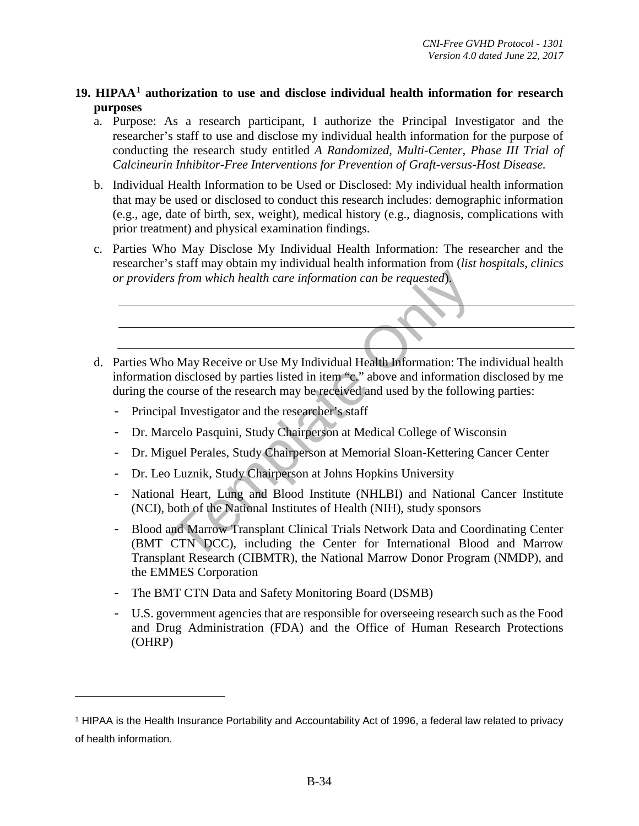#### **19. HIPAA[1](#page-33-0) authorization to use and disclose individual health information for research purposes**

- a. Purpose: As a research participant, I authorize the Principal Investigator and the researcher's staff to use and disclose my individual health information for the purpose of conducting the research study entitled *A Randomized, Multi-Center, Phase III Trial of Calcineurin Inhibitor-Free Interventions for Prevention of Graft-versus-Host Disease.*
- b. Individual Health Information to be Used or Disclosed: My individual health information that may be used or disclosed to conduct this research includes: demographic information (e.g., age, date of birth, sex, weight), medical history (e.g., diagnosis, complications with prior treatment) and physical examination findings.
- c. Parties Who May Disclose My Individual Health Information: The researcher and the researcher's staff may obtain my individual health information from (*list hospitals, clinics or providers from which health care information can be requested*).



- information disclosed by parties listed in item "c." above and information disclosed by me during the course of the research may be received and used by the following parties:
	- Principal Investigator and the researcher's staff
	- Dr. Marcelo Pasquini, Study Chairperson at Medical College of Wisconsin
	- Dr. Miguel Perales, Study Chairperson at Memorial Sloan-Kettering Cancer Center
	- Dr. Leo Luznik, Study Chairperson at Johns Hopkins University
	- National Heart, Lung and Blood Institute (NHLBI) and National Cancer Institute (NCI), both of the National Institutes of Health (NIH), study sponsors
	- Blood and Marrow Transplant Clinical Trials Network Data and Coordinating Center (BMT CTN DCC), including the Center for International Blood and Marrow Transplant Research (CIBMTR), the National Marrow Donor Program (NMDP), and the EMMES Corporation
	- The BMT CTN Data and Safety Monitoring Board (DSMB)

 $\overline{a}$ 

- U.S. government agencies that are responsible for overseeing research such as the Food and Drug Administration (FDA) and the Office of Human Research Protections (OHRP)

<span id="page-33-0"></span><sup>1</sup> HIPAA is the Health Insurance Portability and Accountability Act of 1996, a federal law related to privacy of health information.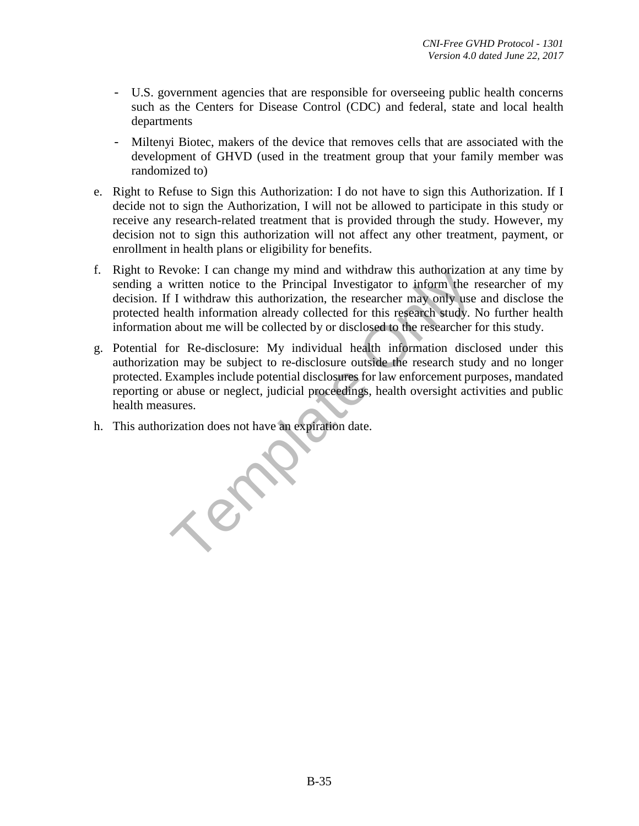- U.S. government agencies that are responsible for overseeing public health concerns such as the Centers for Disease Control (CDC) and federal, state and local health departments
- Miltenyi Biotec, makers of the device that removes cells that are associated with the development of GHVD (used in the treatment group that your family member was randomized to)
- e. Right to Refuse to Sign this Authorization: I do not have to sign this Authorization. If I decide not to sign the Authorization, I will not be allowed to participate in this study or receive any research-related treatment that is provided through the study. However, my decision not to sign this authorization will not affect any other treatment, payment, or enrollment in health plans or eligibility for benefits.
- f. Right to Revoke: I can change my mind and withdraw this authorization at any time by sending a written notice to the Principal Investigator to inform the researcher of my decision. If I withdraw this authorization, the researcher may only use and disclose the protected health information already collected for this research study. No further health information about me will be collected by or disclosed to the researcher for this study.
- g. Potential for Re-disclosure: My individual health information disclosed under this authorization may be subject to re-disclosure outside the research study and no longer protected. Examples include potential disclosures for law enforcement purposes, mandated reporting or abuse or neglect, judicial proceedings, health oversight activities and public health measures.
- h. This authorization does not have an expiration date.

 $x^{\infty}$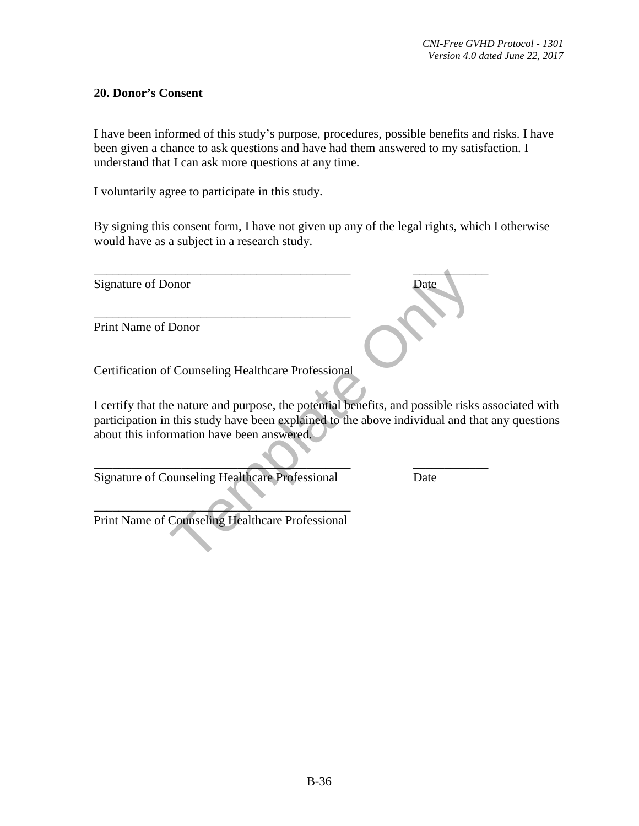#### **20. Donor's Consent**

I have been informed of this study's purpose, procedures, possible benefits and risks. I have been given a chance to ask questions and have had them answered to my satisfaction. I understand that I can ask more questions at any time.

I voluntarily agree to participate in this study.

By signing this consent form, I have not given up any of the legal rights, which I otherwise would have as a subject in a research study.

| Signature of Donor                                                                                                                                                                                                                                | Date |
|---------------------------------------------------------------------------------------------------------------------------------------------------------------------------------------------------------------------------------------------------|------|
| <b>Print Name of Donor</b>                                                                                                                                                                                                                        |      |
| <b>Certification of Counseling Healthcare Professional</b>                                                                                                                                                                                        |      |
| I certify that the nature and purpose, the potential benefits, and possible risks associated with<br>participation in this study have been explained to the above individual and that any questions<br>about this information have been answered. |      |
| <b>Signature of Counseling Healthcare Professional</b>                                                                                                                                                                                            | Date |
| Print Name of Counseling Healthcare Professional                                                                                                                                                                                                  |      |